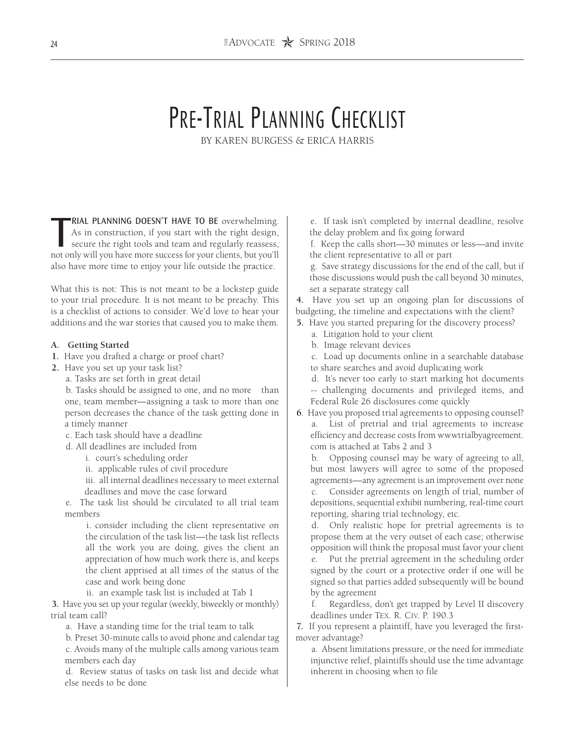# PRE-TRIAL PLANNING CHECKLIST

BY KAREN BURGESS & ERICA HARRIS

**RIAL PLANNING DOESN'T HAVE TO BE** overwhelming.<br>As in construction, if you start with the right design, secure the right tools and team and regularly reassess, not only will you have more success for your clients, but you RIAL PLANNING DOESN'T HAVE TO BE overwhelming. As in construction, if you start with the right design, secure the right tools and team and regularly reassess, also have more time to enjoy your life outside the practice.

What this is not: This is not meant to be a lockstep guide to your trial procedure. It is not meant to be preachy. This is a checklist of actions to consider. We'd love to hear your additions and the war stories that caused you to make them.

#### **A. Getting Started**

- **1.** Have you drafted a charge or proof chart?
- **2.** Have you set up your task list?
	- a. Tasks are set forth in great detail

b. Tasks should be assigned to one, and no more than one, team member—assigning a task to more than one person decreases the chance of the task getting done in a timely manner

- c. Each task should have a deadline
- d. All deadlines are included from
	- i. court's scheduling order
	- ii. applicable rules of civil procedure

iii. all internal deadlines necessary to meet external deadlines and move the case forward

e. The task list should be circulated to all trial team members

i. consider including the client representative on the circulation of the task list—the task list reflects all the work you are doing, gives the client an appreciation of how much work there is, and keeps the client apprised at all times of the status of the case and work being done

ii. an example task list is included at Tab 1

**3.** Have you set up your regular (weekly, biweekly or monthly) trial team call?

a. Have a standing time for the trial team to talk

b. Preset 30-minute calls to avoid phone and calendar tag c. Avoids many of the multiple calls among various team members each day

d. Review status of tasks on task list and decide what else needs to be done

e. If task isn't completed by internal deadline, resolve the delay problem and fix going forward

f. Keep the calls short—30 minutes or less—and invite the client representative to all or part

g. Save strategy discussions for the end of the call, but if those discussions would push the call beyond 30 minutes, set a separate strategy call

**4.** Have you set up an ongoing plan for discussions of budgeting, the timeline and expectations with the client?

- **5.** Have you started preparing for the discovery process?
	- a. Litigation hold to your client
	- b. Image relevant devices
	- c. Load up documents online in a searchable database
	- to share searches and avoid duplicating work
	- d. It's never too early to start marking hot documents -- challenging documents and privileged items, and Federal Rule 26 disclosures come quickly
- **6**. Have you proposed trial agreements to opposing counsel? List of pretrial and trial agreements to increase efficiency and decrease costs from wwwtrialbyagreement. com is attached at Tabs 2 and 3

b. Opposing counsel may be wary of agreeing to all, but most lawyers will agree to some of the proposed agreements—any agreement is an improvement over none

c. Consider agreements on length of trial, number of depositions, sequential exhibit numbering, real-time court reporting, sharing trial technology, etc.

d. Only realistic hope for pretrial agreements is to propose them at the very outset of each case; otherwise opposition will think the proposal must favor your client e. Put the pretrial agreement in the scheduling order signed by the court or a protective order if one will be signed so that parties added subsequently will be bound by the agreement

f. Regardless, don't get trapped by Level II discovery deadlines under Tex. R. Civ. P. 190.3

**7.** If you represent a plaintiff, have you leveraged the firstmover advantage?

a. Absent limitations pressure, or the need for immediate injunctive relief, plaintiffs should use the time advantage inherent in choosing when to file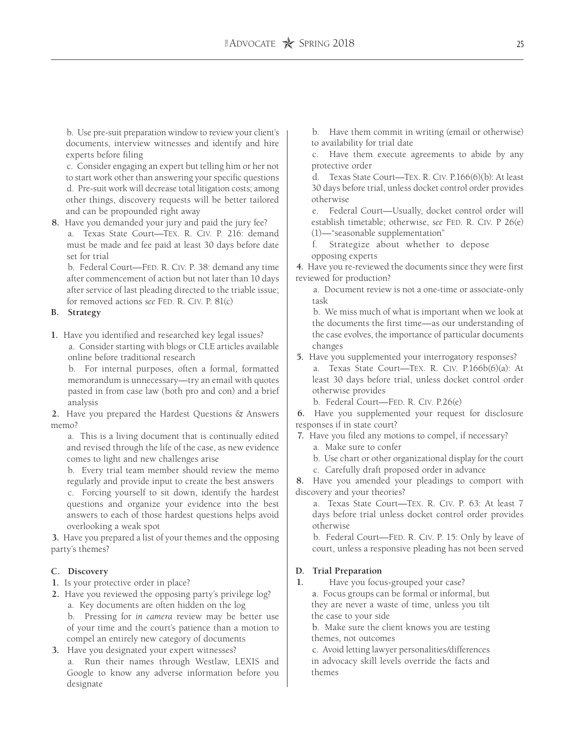b. Use pre-suit preparation window to review your client's documents, interview witnesses and identify and hire experts before filing

c. Consider engaging an expert but telling him or her not to start work other than answering your specific questions d. Pre-suit work will decrease total litigation costs; among other things, discovery requests will be better tailored and can be propounded right away

**8.** Have you demanded your jury and paid the jury fee?

a. Texas State Court—Tex. R. Civ. P. 216: demand must be made and fee paid at least 30 days before date set for trial

b. Federal Court—FED. R. CIV. P. 38: demand any time after commencement of action but not later than 10 days after service of last pleading directed to the triable issue; for removed actions *see* Fed. R. Civ. P. 81(c)

# **B. Strategy**

**1.** Have you identified and researched key legal issues?

a. Consider starting with blogs or CLE articles available online before traditional research

b. For internal purposes, often a formal, formatted memorandum is unnecessary—try an email with quotes pasted in from case law (both pro and con) and a brief analysis

**2.** Have you prepared the Hardest Questions & Answers memo?

a. This is a living document that is continually edited and revised through the life of the case, as new evidence comes to light and new challenges arise

b. Every trial team member should review the memo regularly and provide input to create the best answers

c. Forcing yourself to sit down, identify the hardest questions and organize your evidence into the best answers to each of those hardest questions helps avoid overlooking a weak spot

**3.** Have you prepared a list of your themes and the opposing party's themes?

# **C. Discovery**

- **1.** Is your protective order in place?
- **2.** Have you reviewed the opposing party's privilege log?

a. Key documents are often hidden on the log

b. Pressing for *in camera* review may be better use of your time and the court's patience than a motion to compel an entirely new category of documents

**3.** Have you designated your expert witnesses? a. Run their names through Westlaw, LEXIS and Google to know any adverse information before you designate

b. Have them commit in writing (email or otherwise) to availability for trial date

c. Have them execute agreements to abide by any protective order

d. Texas State Court—Tex. R. Civ. P.166(6)(b): At least 30 days before trial, unless docket control order provides otherwise

e. Federal Court—Usually, docket control order will establish timetable; otherwise, *see* FED. R. CIV. P 26(e) (1)—"seasonable supplementation"

f. Strategize about whether to depose opposing experts

**4.** Have you re-reviewed the documents since they were first reviewed for production?

a. Document review is not a one-time or associate-only task

b. We miss much of what is important when we look at the documents the first time—as our understanding of the case evolves, the importance of particular documents changes

- **5.** Have you supplemented your interrogatory responses? a. Texas State Court—Tex. R. Civ. P.166b(6)(a): At least 30 days before trial, unless docket control order otherwise provides
	- b. Federal Court-FED. R. CIV. P.26(e)

**6.** Have you supplemented your request for disclosure responses if in state court?

**7.** Have you filed any motions to compel, if necessary?

a. Make sure to confer

b. Use chart or other organizational display for the court

c. Carefully draft proposed order in advance

**8.** Have you amended your pleadings to comport with discovery and your theories?

a. Texas State Court—Tex. R. Civ. P. 63: At least 7 days before trial unless docket control order provides otherwise

b. Federal Court-FED. R. CIV. P. 15: Only by leave of court, unless a responsive pleading has not been served

# **D. Trial Preparation**

**1.** Have you focus-grouped your case?

a. Focus groups can be formal or informal, but they are never a waste of time, unless you tilt the case to your side

b. Make sure the client knows you are testing themes, not outcomes

c. Avoid letting lawyer personalities/differences in advocacy skill levels override the facts and themes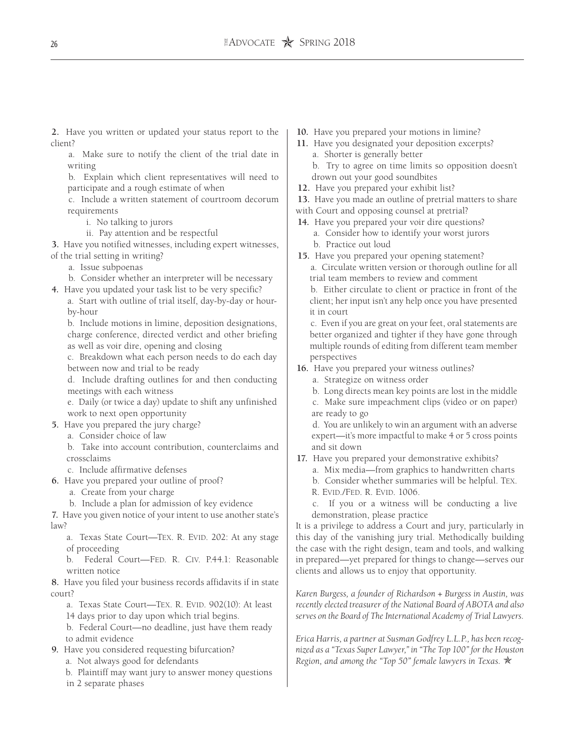**2.** Have you written or updated your status report to the client?

a. Make sure to notify the client of the trial date in writing

b. Explain which client representatives will need to participate and a rough estimate of when

c. Include a written statement of courtroom decorum requirements

i. No talking to jurors

ii. Pay attention and be respectful

**3.** Have you notified witnesses, including expert witnesses, of the trial setting in writing?

- a. Issue subpoenas
- b. Consider whether an interpreter will be necessary
- **4.** Have you updated your task list to be very specific?
	- a. Start with outline of trial itself, day-by-day or hourby-hour

b. Include motions in limine, deposition designations, charge conference, directed verdict and other briefing as well as voir dire, opening and closing

c. Breakdown what each person needs to do each day between now and trial to be ready

d. Include drafting outlines for and then conducting meetings with each witness

e. Daily (or twice a day) update to shift any unfinished work to next open opportunity

- **5.** Have you prepared the jury charge?
	- a. Consider choice of law

b. Take into account contribution, counterclaims and crossclaims

c. Include affirmative defenses

**6.** Have you prepared your outline of proof?

a. Create from your charge

b. Include a plan for admission of key evidence

**7.** Have you given notice of your intent to use another state's law?

a. Texas State Court-TEX. R. EVID. 202: At any stage of proceeding

b. Federal Court-FED. R. CIV. P.44.1: Reasonable written notice

**8.** Have you filed your business records affidavits if in state court?

- a. Texas State Court—TEX. R. EVID. 902(10): At least
- 14 days prior to day upon which trial begins.

b. Federal Court—no deadline, just have them ready to admit evidence

- **9.** Have you considered requesting bifurcation?
	- a. Not always good for defendants
	- b. Plaintiff may want jury to answer money questions
	- in 2 separate phases
- **10.** Have you prepared your motions in limine?
- **11.** Have you designated your deposition excerpts? a. Shorter is generally better
	- b. Try to agree on time limits so opposition doesn't drown out your good soundbites
- **12.** Have you prepared your exhibit list?
- **13.** Have you made an outline of pretrial matters to share
- with Court and opposing counsel at pretrial?
- **14.** Have you prepared your voir dire questions?
	- a. Consider how to identify your worst jurors
	- b. Practice out loud
- **15.** Have you prepared your opening statement? a. Circulate written version or thorough outline for all trial team members to review and comment

b. Either circulate to client or practice in front of the client; her input isn't any help once you have presented it in court

c. Even if you are great on your feet, oral statements are better organized and tighter if they have gone through multiple rounds of editing from different team member perspectives

- **16.** Have you prepared your witness outlines?
	- a. Strategize on witness order
	- b. Long directs mean key points are lost in the middle
	- c. Make sure impeachment clips (video or on paper) are ready to go

d. You are unlikely to win an argument with an adverse expert—it's more impactful to make 4 or 5 cross points and sit down

- **17.** Have you prepared your demonstrative exhibits?
	- a. Mix media—from graphics to handwritten charts
	- b. Consider whether summaries will be helpful. Tex.
	- R. Evid./Fed. R. Evid. 1006.
	- c. If you or a witness will be conducting a live demonstration, please practice

It is a privilege to address a Court and jury, particularly in this day of the vanishing jury trial. Methodically building the case with the right design, team and tools, and walking in prepared—yet prepared for things to change—serves our clients and allows us to enjoy that opportunity.

*Karen Burgess, a founder of Richardson + Burgess in Austin, was recently elected treasurer of the National Board of ABOTA and also serves on the Board of The International Academy of Trial Lawyers.*

*Erica Harris, a partner at Susman Godfrey L.L.P., has been recognized as a "Texas Super Lawyer," in "The Top 100" for the Houston Region, and among the "Top 50" female lawyers in Texas.*  $\star$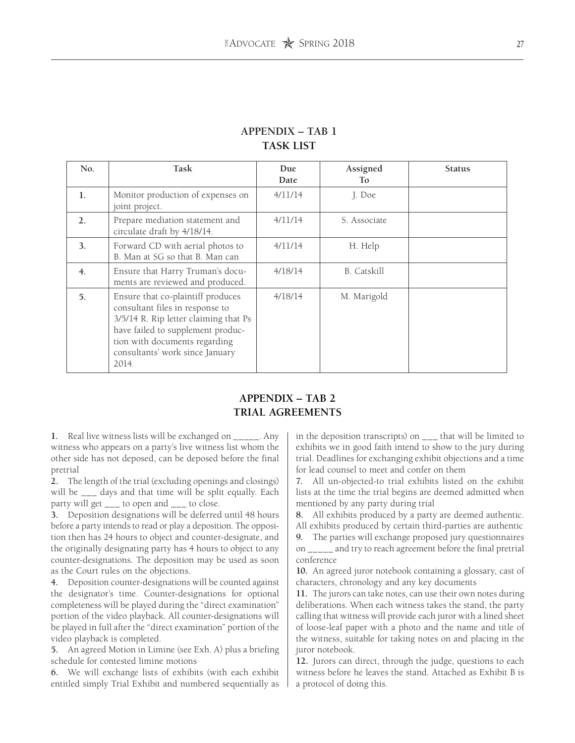| No. | Task                                                                                                                                                                                                                            | Due<br>Date | Assigned<br>T <sub>o</sub> | <b>Status</b> |
|-----|---------------------------------------------------------------------------------------------------------------------------------------------------------------------------------------------------------------------------------|-------------|----------------------------|---------------|
| 1.  | Monitor production of expenses on<br>joint project.                                                                                                                                                                             | 4/11/14     | J. Doe                     |               |
| 2.  | Prepare mediation statement and<br>circulate draft by 4/18/14.                                                                                                                                                                  | 4/11/14     | S. Associate               |               |
| 3.  | Forward CD with aerial photos to<br>B. Man at SG so that B. Man can                                                                                                                                                             | 4/11/14     | H. Help                    |               |
| 4.  | Ensure that Harry Truman's docu-<br>ments are reviewed and produced.                                                                                                                                                            | 4/18/14     | <b>B.</b> Catskill         |               |
| 5.  | Ensure that co-plaintiff produces<br>consultant files in response to<br>3/5/14 R. Rip letter claiming that Ps<br>have failed to supplement produc-<br>tion with documents regarding<br>consultants' work since January<br>2014. | 4/18/14     | M. Marigold                |               |

# **APPENDIX – TAB 1 TASK LIST**

# **APPENDIX – TAB 2 TRIAL AGREEMENTS**

**1.** Real live witness lists will be exchanged on \_\_\_\_\_. Any witness who appears on a party's live witness list whom the other side has not deposed, can be deposed before the final pretrial

**2.** The length of the trial (excluding openings and closings) will be \_\_\_ days and that time will be split equally. Each party will get \_\_\_ to open and \_\_\_ to close.

**3.** Deposition designations will be deferred until 48 hours before a party intends to read or play a deposition. The opposition then has 24 hours to object and counter-designate, and the originally designating party has 4 hours to object to any counter-designations. The deposition may be used as soon as the Court rules on the objections.

**4.** Deposition counter-designations will be counted against the designator's time. Counter-designations for optional completeness will be played during the "direct examination" portion of the video playback. All counter-designations will be played in full after the "direct examination" portion of the video playback is completed.

**5.** An agreed Motion in Limine (see Exh. A) plus a briefing schedule for contested limine motions

**6.** We will exchange lists of exhibits (with each exhibit entitled simply Trial Exhibit and numbered sequentially as in the deposition transcripts) on \_\_\_ that will be limited to exhibits we in good faith intend to show to the jury during trial. Deadlines for exchanging exhibit objections and a time for lead counsel to meet and confer on them

**7.** All un-objected-to trial exhibits listed on the exhibit lists at the time the trial begins are deemed admitted when mentioned by any party during trial

**8.** All exhibits produced by a party are deemed authentic. All exhibits produced by certain third-parties are authentic

**9.** The parties will exchange proposed jury questionnaires on \_\_\_\_\_ and try to reach agreement before the final pretrial conference

**10.** An agreed juror notebook containing a glossary, cast of characters, chronology and any key documents

**11.** The jurors can take notes, can use their own notes during deliberations. When each witness takes the stand, the party calling that witness will provide each juror with a lined sheet of loose-leaf paper with a photo and the name and title of the witness, suitable for taking notes on and placing in the juror notebook.

**12.** Jurors can direct, through the judge, questions to each witness before he leaves the stand. Attached as Exhibit B is a protocol of doing this.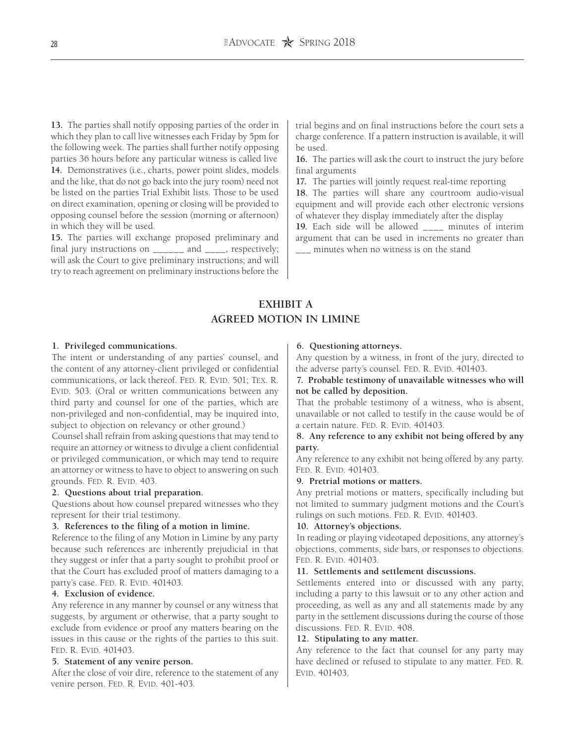**13.** The parties shall notify opposing parties of the order in which they plan to call live witnesses each Friday by 5pm for the following week. The parties shall further notify opposing parties 36 hours before any particular witness is called live **14.** Demonstratives (i.e., charts, power point slides, models and the like, that do not go back into the jury room) need not be listed on the parties Trial Exhibit lists. Those to be used on direct examination, opening or closing will be provided to opposing counsel before the session (morning or afternoon) in which they will be used.

**15.** The parties will exchange proposed preliminary and final jury instructions on \_\_\_\_\_\_ and \_\_\_\_, respectively; will ask the Court to give preliminary instructions; and will try to reach agreement on preliminary instructions before the trial begins and on final instructions before the court sets a charge conference. If a pattern instruction is available, it will be used.

**16.** The parties will ask the court to instruct the jury before final arguments

**17.** The parties will jointly request real-time reporting

**18.** The parties will share any courtroom audio-visual equipment and will provide each other electronic versions of whatever they display immediately after the display

**19.** Each side will be allowed \_\_\_\_ minutes of interim argument that can be used in increments no greater than \_\_\_ minutes when no witness is on the stand

# **EXHIBIT A AGREED MOTION IN LIMINE**

#### **1. Privileged communications.**

The intent or understanding of any parties' counsel, and the content of any attorney-client privileged or confidential communications, or lack thereof. FED. R. EVID. 501; TEX. R. EVID. 503. (Oral or written communications between any third party and counsel for one of the parties, which are non-privileged and non-confidential, may be inquired into, subject to objection on relevancy or other ground.)

Counsel shall refrain from asking questions that may tend to require an attorney or witness to divulge a client confidential or privileged communication, or which may tend to require an attorney or witness to have to object to answering on such grounds. FED. R. EVID. 403.

#### **2. Questions about trial preparation.**

Questions about how counsel prepared witnesses who they represent for their trial testimony.

#### **3. References to the filing of a motion in limine.**

Reference to the filing of any Motion in Limine by any party because such references are inherently prejudicial in that they suggest or infer that a party sought to prohibit proof or that the Court has excluded proof of matters damaging to a party's case. FED. R. EVID. 401403.

### **4. Exclusion of evidence.**

Any reference in any manner by counsel or any witness that suggests, by argument or otherwise, that a party sought to exclude from evidence or proof any matters bearing on the issues in this cause or the rights of the parties to this suit. FED. R. EVID. 401403.

#### **5. Statement of any venire person.**

After the close of voir dire, reference to the statement of any venire person. FED. R. EVID. 401-403.

# **6. Questioning attorneys.**

Any question by a witness, in front of the jury, directed to the adverse party's counsel. FED. R. EVID. 401403.

# **7. Probable testimony of unavailable witnesses who will not be called by deposition.**

That the probable testimony of a witness, who is absent, unavailable or not called to testify in the cause would be of a certain nature. FED. R. EVID. 401403.

# **8. Any reference to any exhibit not being offered by any party.**

Any reference to any exhibit not being offered by any party. FED. R. EVID. 401403.

#### **9. Pretrial motions or matters.**

Any pretrial motions or matters, specifically including but not limited to summary judgment motions and the Court's rulings on such motions. FED. R. EVID. 401403.

#### **10. Attorney's objections.**

In reading or playing videotaped depositions, any attorney's objections, comments, side bars, or responses to objections. FED. R. EVID. 401403.

### **11. Settlements and settlement discussions.**

Settlements entered into or discussed with any party, including a party to this lawsuit or to any other action and proceeding, as well as any and all statements made by any party in the settlement discussions during the course of those discussions. FED. R. EVID. 408.

#### **12. Stipulating to any matter.**

Any reference to the fact that counsel for any party may have declined or refused to stipulate to any matter. FED. R. EVID. 401403.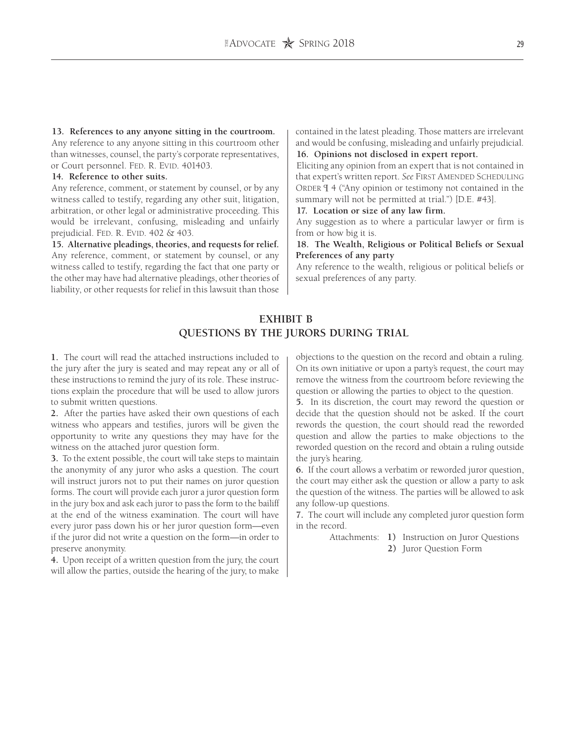# **13. References to any anyone sitting in the courtroom.**

Any reference to any anyone sitting in this courtroom other than witnesses, counsel, the party's corporate representatives, or Court personnel. FED. R. EVID. 401403.

# **14. Reference to other suits.**

Any reference, comment, or statement by counsel, or by any witness called to testify, regarding any other suit, litigation, arbitration, or other legal or administrative proceeding. This would be irrelevant, confusing, misleading and unfairly prejudicial. FED. R. EVID. 402 & 403.

**15. Alternative pleadings, theories, and requests for relief.** Any reference, comment, or statement by counsel, or any witness called to testify, regarding the fact that one party or the other may have had alternative pleadings, other theories of liability, or other requests for relief in this lawsuit than those contained in the latest pleading. Those matters are irrelevant and would be confusing, misleading and unfairly prejudicial. **16. Opinions not disclosed in expert report.**

Eliciting any opinion from an expert that is not contained in that expert's written report. See FIRST AMENDED SCHEDULING ORDER  $\P$  4 ("Any opinion or testimony not contained in the summary will not be permitted at trial.") [D.E. #43].

**17. Location or size of any law firm.**

Any suggestion as to where a particular lawyer or firm is from or how big it is.

## **18. The Wealth, Religious or Political Beliefs or Sexual Preferences of any party**

Any reference to the wealth, religious or political beliefs or sexual preferences of any party.

# **EXHIBIT B QUESTIONS BY THE JURORS DURING TRIAL**

**1.** The court will read the attached instructions included to the jury after the jury is seated and may repeat any or all of these instructions to remind the jury of its role. These instructions explain the procedure that will be used to allow jurors to submit written questions.

**2.** After the parties have asked their own questions of each witness who appears and testifies, jurors will be given the opportunity to write any questions they may have for the witness on the attached juror question form.

**3.** To the extent possible, the court will take steps to maintain the anonymity of any juror who asks a question. The court will instruct jurors not to put their names on juror question forms. The court will provide each juror a juror question form in the jury box and ask each juror to pass the form to the bailiff at the end of the witness examination. The court will have every juror pass down his or her juror question form—even if the juror did not write a question on the form—in order to preserve anonymity.

**4.** Upon receipt of a written question from the jury, the court will allow the parties, outside the hearing of the jury, to make

objections to the question on the record and obtain a ruling. On its own initiative or upon a party's request, the court may remove the witness from the courtroom before reviewing the question or allowing the parties to object to the question.

**5.** In its discretion, the court may reword the question or decide that the question should not be asked. If the court rewords the question, the court should read the reworded question and allow the parties to make objections to the reworded question on the record and obtain a ruling outside the jury's hearing.

**6.** If the court allows a verbatim or reworded juror question, the court may either ask the question or allow a party to ask the question of the witness. The parties will be allowed to ask any follow-up questions.

**7.** The court will include any completed juror question form in the record.

> Attachments: **1)** Instruction on Juror Questions **2)** Juror Question Form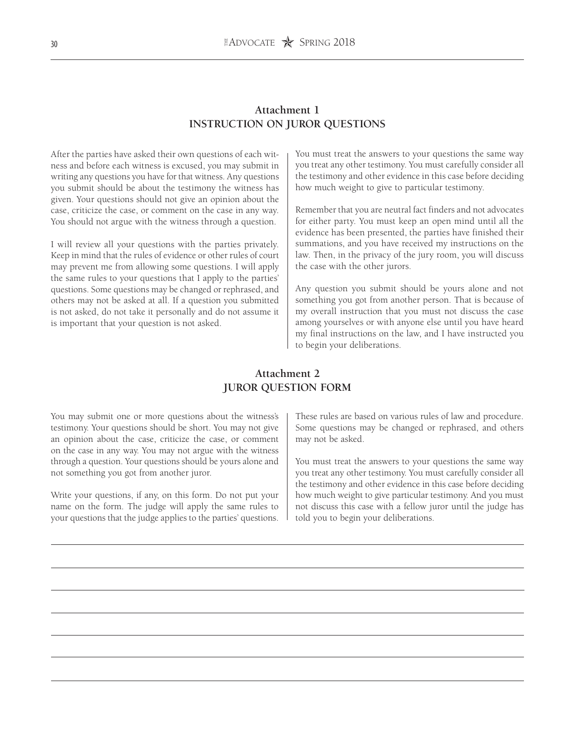# **Attachment 1 INSTRUCTION ON JUROR QUESTIONS**

After the parties have asked their own questions of each witness and before each witness is excused, you may submit in writing any questions you have for that witness. Any questions you submit should be about the testimony the witness has given. Your questions should not give an opinion about the case, criticize the case, or comment on the case in any way. You should not argue with the witness through a question.

I will review all your questions with the parties privately. Keep in mind that the rules of evidence or other rules of court may prevent me from allowing some questions. I will apply the same rules to your questions that I apply to the parties' questions. Some questions may be changed or rephrased, and others may not be asked at all. If a question you submitted is not asked, do not take it personally and do not assume it is important that your question is not asked.

You must treat the answers to your questions the same way you treat any other testimony. You must carefully consider all the testimony and other evidence in this case before deciding how much weight to give to particular testimony.

Remember that you are neutral fact finders and not advocates for either party. You must keep an open mind until all the evidence has been presented, the parties have finished their summations, and you have received my instructions on the law. Then, in the privacy of the jury room, you will discuss the case with the other jurors.

Any question you submit should be yours alone and not something you got from another person. That is because of my overall instruction that you must not discuss the case among yourselves or with anyone else until you have heard my final instructions on the law, and I have instructed you to begin your deliberations.

# **Attachment 2 JUROR QUESTION FORM**

You may submit one or more questions about the witness's testimony. Your questions should be short. You may not give an opinion about the case, criticize the case, or comment on the case in any way. You may not argue with the witness through a question. Your questions should be yours alone and not something you got from another juror.

Write your questions, if any, on this form. Do not put your name on the form. The judge will apply the same rules to your questions that the judge applies to the parties' questions. These rules are based on various rules of law and procedure. Some questions may be changed or rephrased, and others may not be asked.

You must treat the answers to your questions the same way you treat any other testimony. You must carefully consider all the testimony and other evidence in this case before deciding how much weight to give particular testimony. And you must not discuss this case with a fellow juror until the judge has told you to begin your deliberations.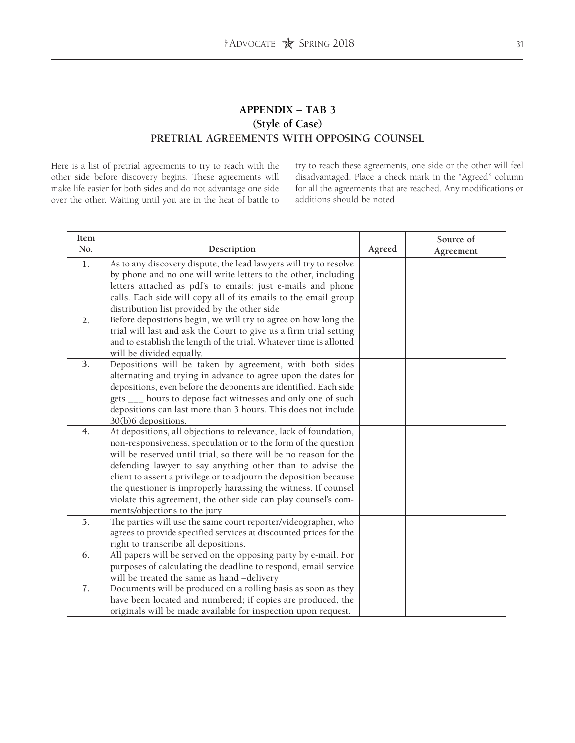# **APPENDIX – TAB 3 (Style of Case) PRETRIAL AGREEMENTS WITH OPPOSING COUNSEL**

Here is a list of pretrial agreements to try to reach with the other side before discovery begins. These agreements will make life easier for both sides and do not advantage one side over the other. Waiting until you are in the heat of battle to try to reach these agreements, one side or the other will feel disadvantaged. Place a check mark in the "Agreed" column for all the agreements that are reached. Any modifications or additions should be noted.

| Item<br>No. |                                                                     |        | Source of |
|-------------|---------------------------------------------------------------------|--------|-----------|
|             | Description                                                         | Agreed | Agreement |
| 1.          | As to any discovery dispute, the lead lawyers will try to resolve   |        |           |
|             | by phone and no one will write letters to the other, including      |        |           |
|             | letters attached as pdf's to emails: just e-mails and phone         |        |           |
|             | calls. Each side will copy all of its emails to the email group     |        |           |
|             | distribution list provided by the other side                        |        |           |
| 2.          | Before depositions begin, we will try to agree on how long the      |        |           |
|             | trial will last and ask the Court to give us a firm trial setting   |        |           |
|             | and to establish the length of the trial. Whatever time is allotted |        |           |
|             | will be divided equally.                                            |        |           |
| 3.          | Depositions will be taken by agreement, with both sides             |        |           |
|             | alternating and trying in advance to agree upon the dates for       |        |           |
|             | depositions, even before the deponents are identified. Each side    |        |           |
|             | gets ___ hours to depose fact witnesses and only one of such        |        |           |
|             | depositions can last more than 3 hours. This does not include       |        |           |
|             | 30(b)6 depositions.                                                 |        |           |
| 4.          | At depositions, all objections to relevance, lack of foundation,    |        |           |
|             | non-responsiveness, speculation or to the form of the question      |        |           |
|             | will be reserved until trial, so there will be no reason for the    |        |           |
|             | defending lawyer to say anything other than to advise the           |        |           |
|             | client to assert a privilege or to adjourn the deposition because   |        |           |
|             | the questioner is improperly harassing the witness. If counsel      |        |           |
|             | violate this agreement, the other side can play counsel's com-      |        |           |
|             | ments/objections to the jury                                        |        |           |
| 5.          | The parties will use the same court reporter/videographer, who      |        |           |
|             | agrees to provide specified services at discounted prices for the   |        |           |
|             | right to transcribe all depositions.                                |        |           |
| 6.          | All papers will be served on the opposing party by e-mail. For      |        |           |
|             | purposes of calculating the deadline to respond, email service      |        |           |
|             | will be treated the same as hand -delivery                          |        |           |
| 7.          | Documents will be produced on a rolling basis as soon as they       |        |           |
|             | have been located and numbered; if copies are produced, the         |        |           |
|             | originals will be made available for inspection upon request.       |        |           |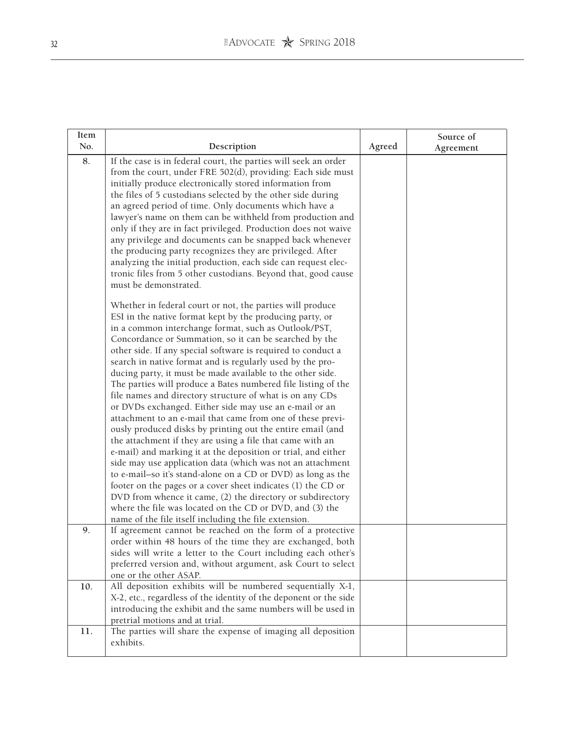| Item |                                                                                                                                                                                                                                                                                                                                                                                                                                                                                                                                                                                                                                                                                                                                                                                                                                                                                                                                                                                                                                                                                                                                                                                                                                                                                                                                                                                                                                  |        | Source of |
|------|----------------------------------------------------------------------------------------------------------------------------------------------------------------------------------------------------------------------------------------------------------------------------------------------------------------------------------------------------------------------------------------------------------------------------------------------------------------------------------------------------------------------------------------------------------------------------------------------------------------------------------------------------------------------------------------------------------------------------------------------------------------------------------------------------------------------------------------------------------------------------------------------------------------------------------------------------------------------------------------------------------------------------------------------------------------------------------------------------------------------------------------------------------------------------------------------------------------------------------------------------------------------------------------------------------------------------------------------------------------------------------------------------------------------------------|--------|-----------|
| No.  | Description                                                                                                                                                                                                                                                                                                                                                                                                                                                                                                                                                                                                                                                                                                                                                                                                                                                                                                                                                                                                                                                                                                                                                                                                                                                                                                                                                                                                                      | Agreed | Agreement |
| 8.   | If the case is in federal court, the parties will seek an order<br>from the court, under FRE 502(d), providing: Each side must<br>initially produce electronically stored information from<br>the files of 5 custodians selected by the other side during<br>an agreed period of time. Only documents which have a<br>lawyer's name on them can be withheld from production and<br>only if they are in fact privileged. Production does not waive<br>any privilege and documents can be snapped back whenever<br>the producing party recognizes they are privileged. After<br>analyzing the initial production, each side can request elec-<br>tronic files from 5 other custodians. Beyond that, good cause<br>must be demonstrated.<br>Whether in federal court or not, the parties will produce<br>ESI in the native format kept by the producing party, or<br>in a common interchange format, such as Outlook/PST,<br>Concordance or Summation, so it can be searched by the<br>other side. If any special software is required to conduct a<br>search in native format and is regularly used by the pro-<br>ducing party, it must be made available to the other side.<br>The parties will produce a Bates numbered file listing of the<br>file names and directory structure of what is on any CDs<br>or DVDs exchanged. Either side may use an e-mail or an<br>attachment to an e-mail that came from one of these previ- |        |           |
|      | ously produced disks by printing out the entire email (and<br>the attachment if they are using a file that came with an<br>e-mail) and marking it at the deposition or trial, and either<br>side may use application data (which was not an attachment<br>to e-mail-so it's stand-alone on a CD or DVD) as long as the<br>footer on the pages or a cover sheet indicates (1) the CD or<br>DVD from whence it came, (2) the directory or subdirectory<br>where the file was located on the CD or DVD, and (3) the<br>name of the file itself including the file extension.                                                                                                                                                                                                                                                                                                                                                                                                                                                                                                                                                                                                                                                                                                                                                                                                                                                        |        |           |
| 9.   | If agreement cannot be reached on the form of a protective<br>order within 48 hours of the time they are exchanged, both<br>sides will write a letter to the Court including each other's<br>preferred version and, without argument, ask Court to select<br>one or the other ASAP.                                                                                                                                                                                                                                                                                                                                                                                                                                                                                                                                                                                                                                                                                                                                                                                                                                                                                                                                                                                                                                                                                                                                              |        |           |
| 10.  | All deposition exhibits will be numbered sequentially X-1,<br>X-2, etc., regardless of the identity of the deponent or the side<br>introducing the exhibit and the same numbers will be used in<br>pretrial motions and at trial.                                                                                                                                                                                                                                                                                                                                                                                                                                                                                                                                                                                                                                                                                                                                                                                                                                                                                                                                                                                                                                                                                                                                                                                                |        |           |
| 11.  | The parties will share the expense of imaging all deposition<br>exhibits.                                                                                                                                                                                                                                                                                                                                                                                                                                                                                                                                                                                                                                                                                                                                                                                                                                                                                                                                                                                                                                                                                                                                                                                                                                                                                                                                                        |        |           |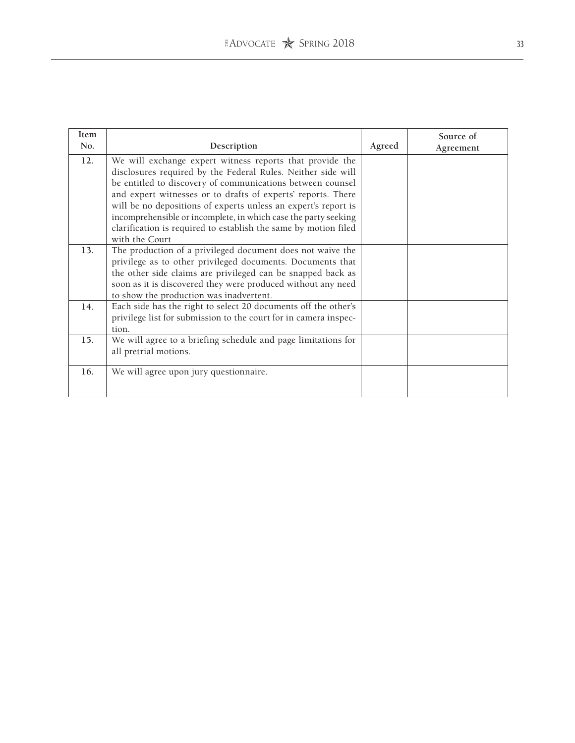| Item |                                                                  |        | Source of |
|------|------------------------------------------------------------------|--------|-----------|
| No.  | Description                                                      | Agreed | Agreement |
| 12.  | We will exchange expert witness reports that provide the         |        |           |
|      | disclosures required by the Federal Rules. Neither side will     |        |           |
|      | be entitled to discovery of communications between counsel       |        |           |
|      | and expert witnesses or to drafts of experts' reports. There     |        |           |
|      | will be no depositions of experts unless an expert's report is   |        |           |
|      | incomprehensible or incomplete, in which case the party seeking  |        |           |
|      | clarification is required to establish the same by motion filed  |        |           |
|      | with the Court                                                   |        |           |
| 13.  | The production of a privileged document does not waive the       |        |           |
|      | privilege as to other privileged documents. Documents that       |        |           |
|      | the other side claims are privileged can be snapped back as      |        |           |
|      | soon as it is discovered they were produced without any need     |        |           |
|      | to show the production was inadvertent.                          |        |           |
| 14.  | Each side has the right to select 20 documents off the other's   |        |           |
|      | privilege list for submission to the court for in camera inspec- |        |           |
|      | tion.                                                            |        |           |
| 15.  | We will agree to a briefing schedule and page limitations for    |        |           |
|      | all pretrial motions.                                            |        |           |
|      |                                                                  |        |           |
| 16.  | We will agree upon jury questionnaire.                           |        |           |
|      |                                                                  |        |           |
|      |                                                                  |        |           |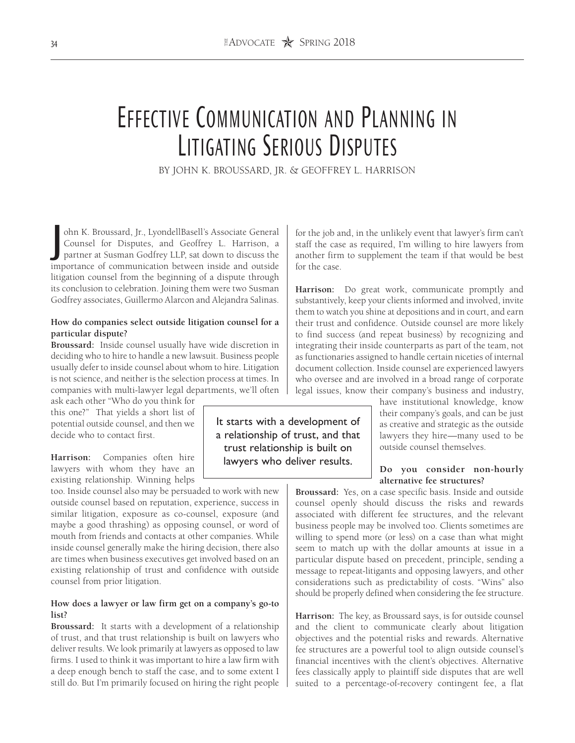# Effective Communication and Planning in Litigating Serious Disputes

BY JOHN K. BROUSSARD, JR. & GEOFFREY L. HARRISON

J ohn K. Broussard, Jr., LyondellBasell's Associate General Counsel for Disputes, and Geoffrey L. Harrison, a partner at Susman Godfrey LLP, sat down to discuss the importance of communication between inside and outside litigation counsel from the beginning of a dispute through its conclusion to celebration. Joining them were two Susman Godfrey associates, Guillermo Alarcon and Alejandra Salinas.

## **How do companies select outside litigation counsel for a particular dispute?**

**Broussard:** Inside counsel usually have wide discretion in deciding who to hire to handle a new lawsuit. Business people usually defer to inside counsel about whom to hire. Litigation is not science, and neither is the selection process at times. In companies with multi-lawyer legal departments, we'll often

ask each other "Who do you think for this one?" That yields a short list of potential outside counsel, and then we decide who to contact first.

**Harrison:** Companies often hire lawyers with whom they have an existing relationship. Winning helps

too. Inside counsel also may be persuaded to work with new outside counsel based on reputation, experience, success in similar litigation, exposure as co-counsel, exposure (and maybe a good thrashing) as opposing counsel, or word of mouth from friends and contacts at other companies. While inside counsel generally make the hiring decision, there also are times when business executives get involved based on an existing relationship of trust and confidence with outside counsel from prior litigation.

# **How does a lawyer or law firm get on a company's go-to list?**

**Broussard:** It starts with a development of a relationship of trust, and that trust relationship is built on lawyers who deliver results. We look primarily at lawyers as opposed to law firms. I used to think it was important to hire a law firm with a deep enough bench to staff the case, and to some extent I still do. But I'm primarily focused on hiring the right people

for the job and, in the unlikely event that lawyer's firm can't staff the case as required, I'm willing to hire lawyers from another firm to supplement the team if that would be best for the case.

**Harrison:** Do great work, communicate promptly and substantively, keep your clients informed and involved, invite them to watch you shine at depositions and in court, and earn their trust and confidence. Outside counsel are more likely to find success (and repeat business) by recognizing and integrating their inside counterparts as part of the team, not as functionaries assigned to handle certain niceties of internal document collection. Inside counsel are experienced lawyers who oversee and are involved in a broad range of corporate legal issues, know their company's business and industry,

> have institutional knowledge, know their company's goals, and can be just as creative and strategic as the outside lawyers they hire—many used to be outside counsel themselves.

# **Do you consider non-hourly alternative fee structures?**

**Broussard:** Yes, on a case specific basis. Inside and outside counsel openly should discuss the risks and rewards associated with different fee structures, and the relevant business people may be involved too. Clients sometimes are willing to spend more (or less) on a case than what might seem to match up with the dollar amounts at issue in a particular dispute based on precedent, principle, sending a message to repeat-litigants and opposing lawyers, and other considerations such as predictability of costs. "Wins" also should be properly defined when considering the fee structure.

**Harrison:** The key, as Broussard says, is for outside counsel and the client to communicate clearly about litigation objectives and the potential risks and rewards. Alternative fee structures are a powerful tool to align outside counsel's financial incentives with the client's objectives. Alternative fees classically apply to plaintiff side disputes that are well suited to a percentage-of-recovery contingent fee, a flat

It starts with a development of a relationship of trust, and that trust relationship is built on lawyers who deliver results.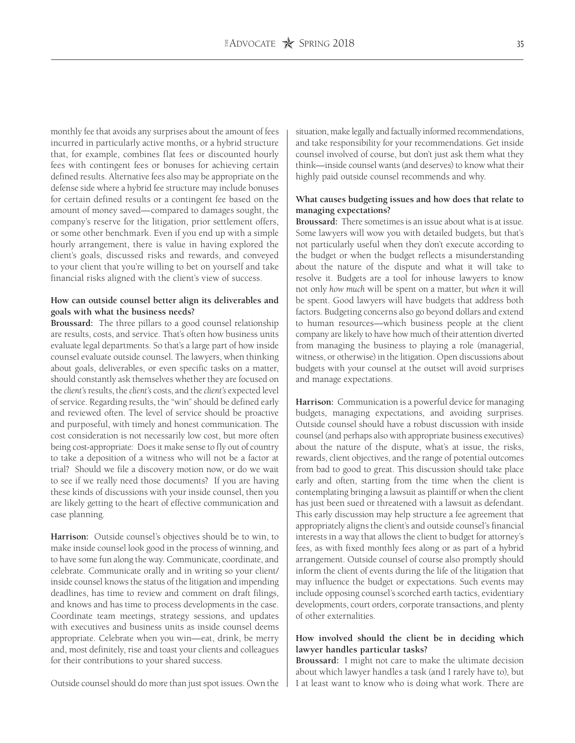monthly fee that avoids any surprises about the amount of fees incurred in particularly active months, or a hybrid structure that, for example, combines flat fees or discounted hourly fees with contingent fees or bonuses for achieving certain defined results. Alternative fees also may be appropriate on the defense side where a hybrid fee structure may include bonuses for certain defined results or a contingent fee based on the amount of money saved—compared to damages sought, the company's reserve for the litigation, prior settlement offers, or some other benchmark. Even if you end up with a simple hourly arrangement, there is value in having explored the client's goals, discussed risks and rewards, and conveyed to your client that you're willing to bet on yourself and take financial risks aligned with the client's view of success.

### **How can outside counsel better align its deliverables and goals with what the business needs?**

**Broussard:** The three pillars to a good counsel relationship are results, costs, and service. That's often how business units evaluate legal departments. So that's a large part of how inside counsel evaluate outside counsel. The lawyers, when thinking about goals, deliverables, or even specific tasks on a matter, should constantly ask themselves whether they are focused on the *client's* results, the *client's* costs, and the *client's* expected level of service. Regarding results, the "win" should be defined early and reviewed often. The level of service should be proactive and purposeful, with timely and honest communication. The cost consideration is not necessarily low cost, but more often being cost-appropriate: Does it make sense to fly out of country to take a deposition of a witness who will not be a factor at trial? Should we file a discovery motion now, or do we wait to see if we really need those documents? If you are having these kinds of discussions with your inside counsel, then you are likely getting to the heart of effective communication and case planning.

**Harrison:** Outside counsel's objectives should be to win, to make inside counsel look good in the process of winning, and to have some fun along the way. Communicate, coordinate, and celebrate. Communicate orally and in writing so your client/ inside counsel knows the status of the litigation and impending deadlines, has time to review and comment on draft filings, and knows and has time to process developments in the case. Coordinate team meetings, strategy sessions, and updates with executives and business units as inside counsel deems appropriate. Celebrate when you win—eat, drink, be merry and, most definitely, rise and toast your clients and colleagues for their contributions to your shared success.

Outside counsel should do more than just spot issues. Own the

situation, make legally and factually informed recommendations, and take responsibility for your recommendations. Get inside counsel involved of course, but don't just ask them what they think—inside counsel wants (and deserves) to know what their highly paid outside counsel recommends and why.

# **What causes budgeting issues and how does that relate to managing expectations?**

**Broussard:** There sometimes is an issue about what is at issue. Some lawyers will wow you with detailed budgets, but that's not particularly useful when they don't execute according to the budget or when the budget reflects a misunderstanding about the nature of the dispute and what it will take to resolve it. Budgets are a tool for inhouse lawyers to know not only *how much* will be spent on a matter, but *when* it will be spent. Good lawyers will have budgets that address both factors. Budgeting concerns also go beyond dollars and extend to human resources—which business people at the client company are likely to have how much of their attention diverted from managing the business to playing a role (managerial, witness, or otherwise) in the litigation. Open discussions about budgets with your counsel at the outset will avoid surprises and manage expectations.

**Harrison:** Communication is a powerful device for managing budgets, managing expectations, and avoiding surprises. Outside counsel should have a robust discussion with inside counsel (and perhaps also with appropriate business executives) about the nature of the dispute, what's at issue, the risks, rewards, client objectives, and the range of potential outcomes from bad to good to great. This discussion should take place early and often, starting from the time when the client is contemplating bringing a lawsuit as plaintiff or when the client has just been sued or threatened with a lawsuit as defendant. This early discussion may help structure a fee agreement that appropriately aligns the client's and outside counsel's financial interests in a way that allows the client to budget for attorney's fees, as with fixed monthly fees along or as part of a hybrid arrangement. Outside counsel of course also promptly should inform the client of events during the life of the litigation that may influence the budget or expectations. Such events may include opposing counsel's scorched earth tactics, evidentiary developments, court orders, corporate transactions, and plenty of other externalities.

# **How involved should the client be in deciding which lawyer handles particular tasks?**

**Broussard:** I might not care to make the ultimate decision about which lawyer handles a task (and I rarely have to), but I at least want to know who is doing what work. There are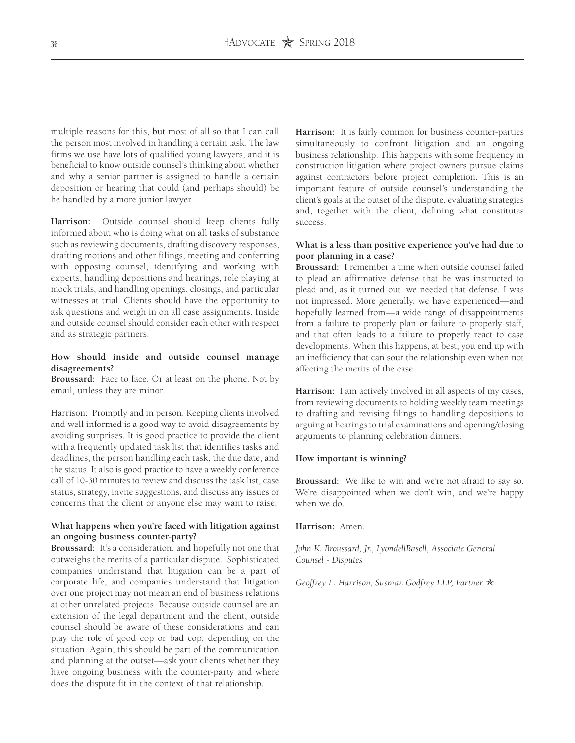multiple reasons for this, but most of all so that I can call the person most involved in handling a certain task. The law firms we use have lots of qualified young lawyers, and it is beneficial to know outside counsel's thinking about whether and why a senior partner is assigned to handle a certain deposition or hearing that could (and perhaps should) be he handled by a more junior lawyer.

**Harrison:** Outside counsel should keep clients fully informed about who is doing what on all tasks of substance such as reviewing documents, drafting discovery responses, drafting motions and other filings, meeting and conferring with opposing counsel, identifying and working with experts, handling depositions and hearings, role playing at mock trials, and handling openings, closings, and particular witnesses at trial. Clients should have the opportunity to ask questions and weigh in on all case assignments. Inside and outside counsel should consider each other with respect and as strategic partners.

# **How should inside and outside counsel manage disagreements?**

**Broussard:** Face to face. Or at least on the phone. Not by email, unless they are minor.

Harrison: Promptly and in person. Keeping clients involved and well informed is a good way to avoid disagreements by avoiding surprises. It is good practice to provide the client with a frequently updated task list that identifies tasks and deadlines, the person handling each task, the due date, and the status. It also is good practice to have a weekly conference call of 10-30 minutes to review and discuss the task list, case status, strategy, invite suggestions, and discuss any issues or concerns that the client or anyone else may want to raise.

# **What happens when you're faced with litigation against an ongoing business counter-party?**

**Broussard:** It's a consideration, and hopefully not one that outweighs the merits of a particular dispute. Sophisticated companies understand that litigation can be a part of corporate life, and companies understand that litigation over one project may not mean an end of business relations at other unrelated projects. Because outside counsel are an extension of the legal department and the client, outside counsel should be aware of these considerations and can play the role of good cop or bad cop, depending on the situation. Again, this should be part of the communication and planning at the outset—ask your clients whether they have ongoing business with the counter-party and where does the dispute fit in the context of that relationship.

**Harrison:** It is fairly common for business counter-parties simultaneously to confront litigation and an ongoing business relationship. This happens with some frequency in construction litigation where project owners pursue claims against contractors before project completion. This is an important feature of outside counsel's understanding the client's goals at the outset of the dispute, evaluating strategies and, together with the client, defining what constitutes success.

# **What is a less than positive experience you've had due to poor planning in a case?**

**Broussard:** I remember a time when outside counsel failed to plead an affirmative defense that he was instructed to plead and, as it turned out, we needed that defense. I was not impressed. More generally, we have experienced—and hopefully learned from—a wide range of disappointments from a failure to properly plan or failure to properly staff, and that often leads to a failure to properly react to case developments. When this happens, at best, you end up with an inefficiency that can sour the relationship even when not affecting the merits of the case.

**Harrison:** I am actively involved in all aspects of my cases, from reviewing documents to holding weekly team meetings to drafting and revising filings to handling depositions to arguing at hearings to trial examinations and opening/closing arguments to planning celebration dinners.

# **How important is winning?**

**Broussard:** We like to win and we're not afraid to say so. We're disappointed when we don't win, and we're happy when we do.

**Harrison:** Amen.

*John K. Broussard, Jr., LyondellBasell, Associate General Counsel - Disputes*

*Geoffrey L. Harrison, Susman Godfrey LLP, Partner*  $\mathbb{\hat{X}}$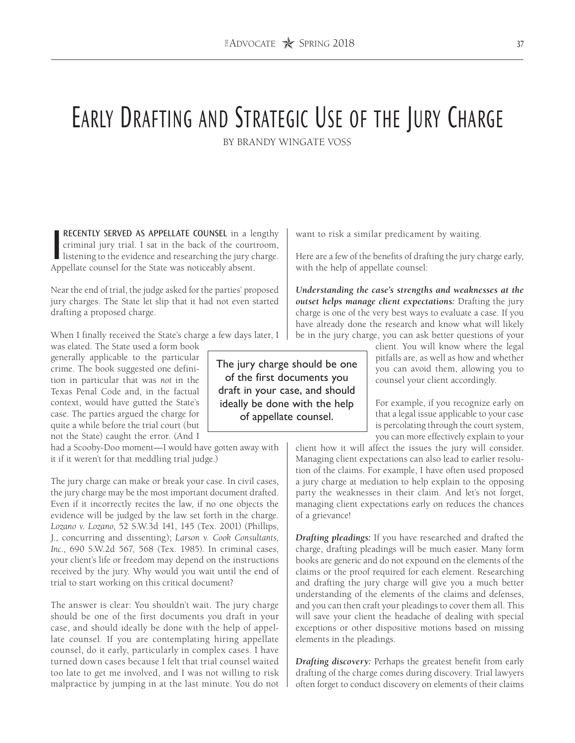# EARLY DRAFTING AND STRATEGIC USE OF THE JURY CHARGE

BY BRANDY WINGATE VOSS

**RECENTLY SERVED AS APPELLATE COUNSEL** in a lengthy criminal jury trial. I sat in the back of the courtroom, listening to the evidence and researching the jury charge.<br>Appellate counsel for the State was poticeably absent criminal jury trial. I sat in the back of the courtroom, Appellate counsel for the State was noticeably absent.

Near the end of trial, the judge asked for the parties' proposed jury charges. The State let slip that it had not even started drafting a proposed charge.

When I finally received the State's charge a few days later, I

was elated. The State used a form book generally applicable to the particular crime. The book suggested one definition in particular that was *not* in the Texas Penal Code and, in the factual context, would have gutted the State's case. The parties argued the charge for quite a while before the trial court (but not the State) caught the error. (And I

had a Scooby-Doo moment—I would have gotten away with it if it weren't for that meddling trial judge.)

The jury charge can make or break your case. In civil cases, the jury charge may be the most important document drafted. Even if it incorrectly recites the law, if no one objects the evidence will be judged by the law set forth in the charge. *Lozano v. Lozano*, 52 S.W.3d 141, 145 (Tex. 2001) (Phillips, J., concurring and dissenting); *Larson v. Cook Consultants, Inc.*, 690 S.W.2d 567, 568 (Tex. 1985). In criminal cases, your client's life or freedom may depend on the instructions received by the jury. Why would you wait until the end of trial to start working on this critical document?

The answer is clear: You shouldn't wait. The jury charge should be one of the first documents you draft in your case, and should ideally be done with the help of appellate counsel. If you are contemplating hiring appellate counsel, do it early, particularly in complex cases. I have turned down cases because I felt that trial counsel waited too late to get me involved, and I was not willing to risk malpractice by jumping in at the last minute. You do not want to risk a similar predicament by waiting.

Here are a few of the benefits of drafting the jury charge early, with the help of appellate counsel:

*Understanding the case's strengths and weaknesses at the outset helps manage client expectations:* Drafting the jury charge is one of the very best ways to evaluate a case. If you have already done the research and know what will likely be in the jury charge, you can ask better questions of your

> client. You will know where the legal pitfalls are, as well as how and whether you can avoid them, allowing you to counsel your client accordingly.

> For example, if you recognize early on that a legal issue applicable to your case is percolating through the court system, you can more effectively explain to your

client how it will affect the issues the jury will consider. Managing client expectations can also lead to earlier resolution of the claims. For example, I have often used proposed a jury charge at mediation to help explain to the opposing party the weaknesses in their claim. And let's not forget, managing client expectations early on reduces the chances of a grievance!

*Drafting pleadings:* If you have researched and drafted the charge, drafting pleadings will be much easier. Many form books are generic and do not expound on the elements of the claims or the proof required for each element. Researching and drafting the jury charge will give you a much better understanding of the elements of the claims and defenses, and you can then craft your pleadings to cover them all. This will save your client the headache of dealing with special exceptions or other dispositive motions based on missing elements in the pleadings.

*Drafting discovery:* Perhaps the greatest benefit from early drafting of the charge comes during discovery. Trial lawyers often forget to conduct discovery on elements of their claims

The jury charge should be one of the first documents you draft in your case, and should ideally be done with the help of appellate counsel.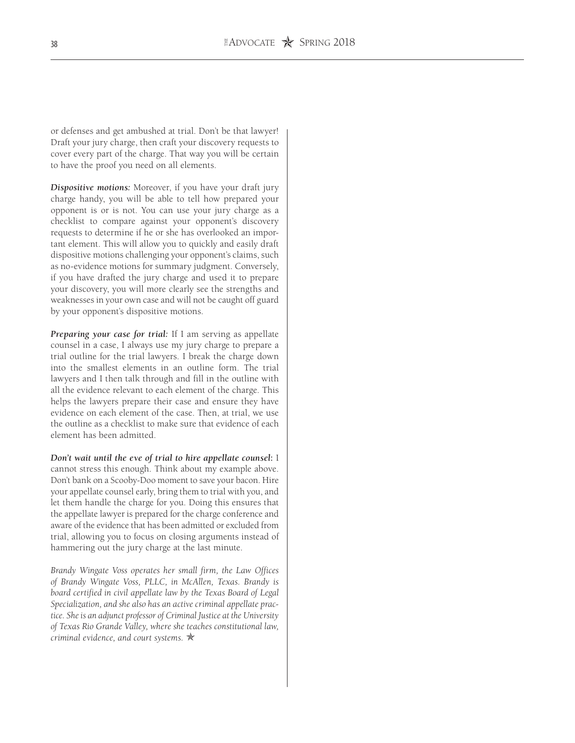or defenses and get ambushed at trial. Don't be that lawyer! Draft your jury charge, then craft your discovery requests to cover every part of the charge. That way you will be certain to have the proof you need on all elements.

*Dispositive motions:* Moreover, if you have your draft jury charge handy, you will be able to tell how prepared your opponent is or is not. You can use your jury charge as a checklist to compare against your opponent's discovery requests to determine if he or she has overlooked an important element. This will allow you to quickly and easily draft dispositive motions challenging your opponent's claims, such as no-evidence motions for summary judgment. Conversely, if you have drafted the jury charge and used it to prepare your discovery, you will more clearly see the strengths and weaknesses in your own case and will not be caught off guard by your opponent's dispositive motions.

*Preparing your case for trial:* If I am serving as appellate counsel in a case, I always use my jury charge to prepare a trial outline for the trial lawyers. I break the charge down into the smallest elements in an outline form. The trial lawyers and I then talk through and fill in the outline with all the evidence relevant to each element of the charge. This helps the lawyers prepare their case and ensure they have evidence on each element of the case. Then, at trial, we use the outline as a checklist to make sure that evidence of each element has been admitted.

*Don't wait until the eve of trial to hire appellate counsel***:** I cannot stress this enough. Think about my example above. Don't bank on a Scooby-Doo moment to save your bacon. Hire your appellate counsel early, bring them to trial with you, and let them handle the charge for you. Doing this ensures that the appellate lawyer is prepared for the charge conference and aware of the evidence that has been admitted or excluded from trial, allowing you to focus on closing arguments instead of hammering out the jury charge at the last minute.

*Brandy Wingate Voss operates her small firm, the Law Offices of Brandy Wingate Voss, PLLC, in McAllen, Texas. Brandy is board certified in civil appellate law by the Texas Board of Legal Specialization, and she also has an active criminal appellate practice. She is an adjunct professor of Criminal Justice at the University of Texas Rio Grande Valley, where she teaches constitutional law, criminal evidence, and court systems.*  $\star$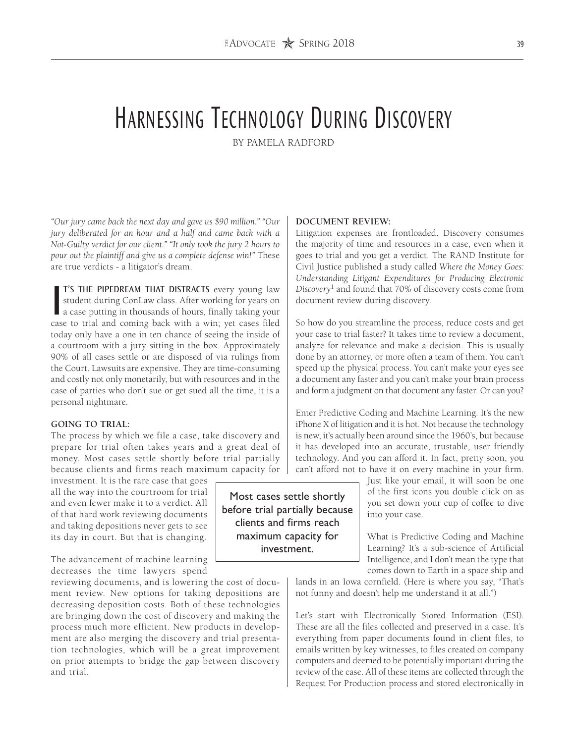# Harnessing Technology During Discovery

BY PAMELA RADFORD

*"Our jury came back the next day and gave us \$90 million." "Our jury deliberated for an hour and a half and came back with a Not-Guilty verdict for our client." "It only took the jury 2 hours to pour out the plaintiff and give us a complete defense win!"* These are true verdicts - a litigator's dream.

I'S THE PIPEDREAM THAT DISTRACTS every young law student during ConLaw class. After working for years on a case putting in thousands of hours, finally taking your case to trial and coming back with a win; yet cases filed T'S THE PIPEDREAM THAT DISTRACTS every young law student during ConLaw class. After working for years on a case putting in thousands of hours, finally taking your today only have a one in ten chance of seeing the inside of a courtroom with a jury sitting in the box. Approximately 90% of all cases settle or are disposed of via rulings from the Court. Lawsuits are expensive. They are time-consuming and costly not only monetarily, but with resources and in the case of parties who don't sue or get sued all the time, it is a personal nightmare.

# **GOING TO TRIAL:**

The process by which we file a case, take discovery and prepare for trial often takes years and a great deal of money. Most cases settle shortly before trial partially because clients and firms reach maximum capacity for

investment. It is the rare case that goes all the way into the courtroom for trial and even fewer make it to a verdict. All of that hard work reviewing documents and taking depositions never gets to see its day in court. But that is changing.

The advancement of machine learning decreases the time lawyers spend

reviewing documents, and is lowering the cost of document review. New options for taking depositions are decreasing deposition costs. Both of these technologies are bringing down the cost of discovery and making the process much more efficient. New products in development are also merging the discovery and trial presentation technologies, which will be a great improvement on prior attempts to bridge the gap between discovery and trial.

Most cases settle shortly before trial partially because clients and firms reach maximum capacity for investment.

## **DOCUMENT REVIEW:**

Litigation expenses are frontloaded. Discovery consumes the majority of time and resources in a case, even when it goes to trial and you get a verdict. The RAND Institute for Civil Justice published a study called *Where the Money Goes: Understanding Litigant Expenditures for Producing Electronic Discovery*1 and found that 70% of discovery costs come from document review during discovery.

So how do you streamline the process, reduce costs and get your case to trial faster? It takes time to review a document, analyze for relevance and make a decision. This is usually done by an attorney, or more often a team of them. You can't speed up the physical process. You can't make your eyes see a document any faster and you can't make your brain process and form a judgment on that document any faster. Or can you?

Enter Predictive Coding and Machine Learning. It's the new iPhone X of litigation and it is hot. Not because the technology is new, it's actually been around since the 1960's, but because it has developed into an accurate, trustable, user friendly technology. And you can afford it. In fact, pretty soon, you can't afford not to have it on every machine in your firm.

> Just like your email, it will soon be one of the first icons you double click on as you set down your cup of coffee to dive into your case.

> What is Predictive Coding and Machine Learning? It's a sub-science of Artificial Intelligence, and I don't mean the type that comes down to Earth in a space ship and

lands in an Iowa cornfield. (Here is where you say, "That's not funny and doesn't help me understand it at all.")

Let's start with Electronically Stored Information (ESI). These are all the files collected and preserved in a case. It's everything from paper documents found in client files, to emails written by key witnesses, to files created on company computers and deemed to be potentially important during the review of the case. All of these items are collected through the Request For Production process and stored electronically in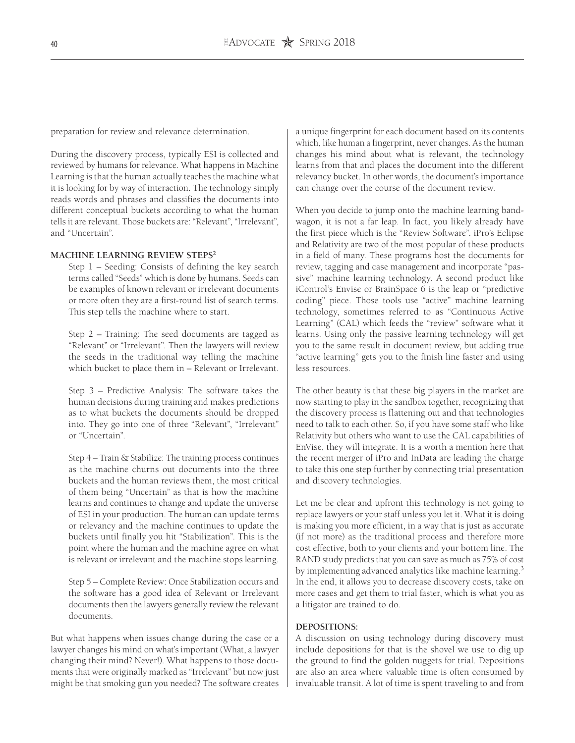preparation for review and relevance determination.

During the discovery process, typically ESI is collected and reviewed by humans for relevance. What happens in Machine Learning is that the human actually teaches the machine what it is looking for by way of interaction. The technology simply reads words and phrases and classifies the documents into different conceptual buckets according to what the human tells it are relevant. Those buckets are: "Relevant", "Irrelevant", and "Uncertain".

#### **MACHINE LEARNING REVIEW STEPS2**

Step 1 – Seeding: Consists of defining the key search terms called "Seeds" which is done by humans. Seeds can be examples of known relevant or irrelevant documents or more often they are a first-round list of search terms. This step tells the machine where to start.

Step 2 – Training: The seed documents are tagged as "Relevant" or "Irrelevant". Then the lawyers will review the seeds in the traditional way telling the machine which bucket to place them in – Relevant or Irrelevant.

Step 3 – Predictive Analysis: The software takes the human decisions during training and makes predictions as to what buckets the documents should be dropped into. They go into one of three "Relevant", "Irrelevant" or "Uncertain".

Step 4 – Train & Stabilize: The training process continues as the machine churns out documents into the three buckets and the human reviews them, the most critical of them being "Uncertain" as that is how the machine learns and continues to change and update the universe of ESI in your production. The human can update terms or relevancy and the machine continues to update the buckets until finally you hit "Stabilization". This is the point where the human and the machine agree on what is relevant or irrelevant and the machine stops learning.

Step 5 – Complete Review: Once Stabilization occurs and the software has a good idea of Relevant or Irrelevant documents then the lawyers generally review the relevant documents.

But what happens when issues change during the case or a lawyer changes his mind on what's important (What, a lawyer changing their mind? Never!). What happens to those documents that were originally marked as "Irrelevant" but now just might be that smoking gun you needed? The software creates a unique fingerprint for each document based on its contents which, like human a fingerprint, never changes. As the human changes his mind about what is relevant, the technology learns from that and places the document into the different relevancy bucket. In other words, the document's importance can change over the course of the document review.

When you decide to jump onto the machine learning bandwagon, it is not a far leap. In fact, you likely already have the first piece which is the "Review Software". iPro's Eclipse and Relativity are two of the most popular of these products in a field of many. These programs host the documents for review, tagging and case management and incorporate "passive" machine learning technology. A second product like iControl's Envise or BrainSpace 6 is the leap or "predictive coding" piece. Those tools use "active" machine learning technology, sometimes referred to as "Continuous Active Learning" (CAL) which feeds the "review" software what it learns. Using only the passive learning technology will get you to the same result in document review, but adding true "active learning" gets you to the finish line faster and using less resources.

The other beauty is that these big players in the market are now starting to play in the sandbox together, recognizing that the discovery process is flattening out and that technologies need to talk to each other. So, if you have some staff who like Relativity but others who want to use the CAL capabilities of EnVise, they will integrate. It is a worth a mention here that the recent merger of iPro and InData are leading the charge to take this one step further by connecting trial presentation and discovery technologies.

Let me be clear and upfront this technology is not going to replace lawyers or your staff unless you let it. What it is doing is making you more efficient, in a way that is just as accurate (if not more) as the traditional process and therefore more cost effective, both to your clients and your bottom line. The RAND study predicts that you can save as much as 75% of cost by implementing advanced analytics like machine learning.<sup>3</sup> In the end, it allows you to decrease discovery costs, take on more cases and get them to trial faster, which is what you as a litigator are trained to do.

#### **DEPOSITIONS:**

A discussion on using technology during discovery must include depositions for that is the shovel we use to dig up the ground to find the golden nuggets for trial. Depositions are also an area where valuable time is often consumed by invaluable transit. A lot of time is spent traveling to and from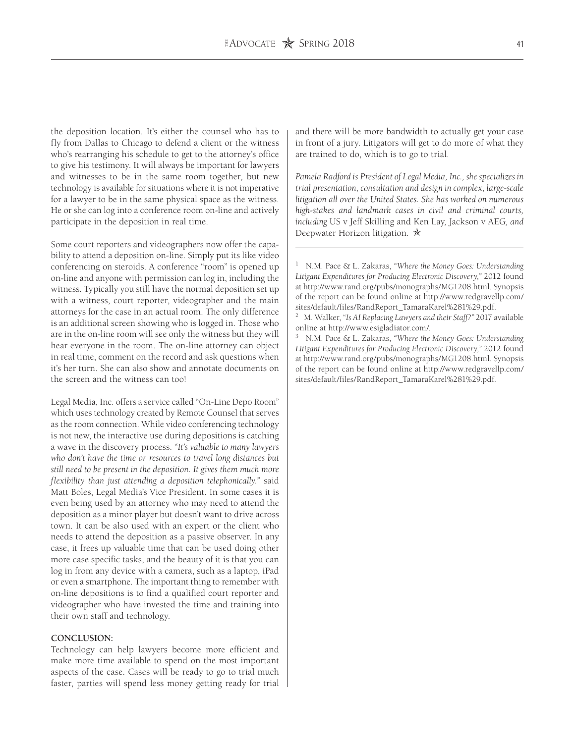the deposition location. It's either the counsel who has to fly from Dallas to Chicago to defend a client or the witness who's rearranging his schedule to get to the attorney's office to give his testimony. It will always be important for lawyers and witnesses to be in the same room together, but new technology is available for situations where it is not imperative for a lawyer to be in the same physical space as the witness. He or she can log into a conference room on-line and actively participate in the deposition in real time.

Some court reporters and videographers now offer the capability to attend a deposition on-line. Simply put its like video conferencing on steroids. A conference "room" is opened up on-line and anyone with permission can log in, including the witness. Typically you still have the normal deposition set up with a witness, court reporter, videographer and the main attorneys for the case in an actual room. The only difference is an additional screen showing who is logged in. Those who are in the on-line room will see only the witness but they will hear everyone in the room. The on-line attorney can object in real time, comment on the record and ask questions when it's her turn. She can also show and annotate documents on the screen and the witness can too!

Legal Media, Inc. offers a service called "On-Line Depo Room" which uses technology created by Remote Counsel that serves as the room connection. While video conferencing technology is not new, the interactive use during depositions is catching a wave in the discovery process. *"It's valuable to many lawyers who don't have the time or resources to travel long distances but still need to be present in the deposition. It gives them much more flexibility than just attending a deposition telephonically."* said Matt Boles, Legal Media's Vice President. In some cases it is even being used by an attorney who may need to attend the deposition as a minor player but doesn't want to drive across town. It can be also used with an expert or the client who needs to attend the deposition as a passive observer. In any case, it frees up valuable time that can be used doing other more case specific tasks, and the beauty of it is that you can log in from any device with a camera, such as a laptop, iPad or even a smartphone. The important thing to remember with on-line depositions is to find a qualified court reporter and videographer who have invested the time and training into their own staff and technology.

#### **CONCLUSION:**

Technology can help lawyers become more efficient and make more time available to spend on the most important aspects of the case. Cases will be ready to go to trial much faster, parties will spend less money getting ready for trial and there will be more bandwidth to actually get your case in front of a jury. Litigators will get to do more of what they are trained to do, which is to go to trial.

*Pamela Radford is President of Legal Media, Inc., she specializes in trial presentation, consultation and design in complex, large-scale litigation all over the United States. She has worked on numerous high-stakes and landmark cases in civil and criminal courts, including* US v Jeff Skilling and Ken Lay*,* Jackson v AEG*, and*  Deepwater Horizon litigation. **★** 

<sup>1</sup> N.M. Pace & L. Zakaras, *"Where the Money Goes: Understanding Litigant Expenditures for Producing Electronic Discovery,"* 2012 found at http://www.rand.org/pubs/monographs/MG1208.html. Synopsis of the report can be found online at http://www.redgravellp.com/ sites/default/files/RandReport\_TamaraKarel%281%29.pdf.

<sup>2</sup> M. Walker, "*Is AI Replacing Lawyers and their Staff?"* 2017 available online at http://www.esigladiator.com/.

<sup>3</sup> N.M. Pace & L. Zakaras, *"Where the Money Goes: Understanding Litigant Expenditures for Producing Electronic Discovery,"* 2012 found at http://www.rand.org/pubs/monographs/MG1208.html. Synopsis of the report can be found online at http://www.redgravellp.com/ sites/default/files/RandReport\_TamaraKarel%281%29.pdf.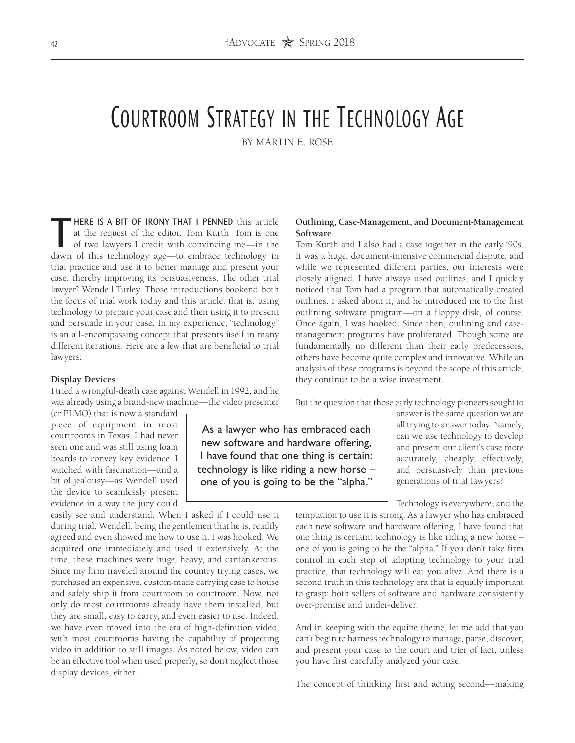# Courtroom Strategy in the Technology Age

BY MARTIN E. ROSE

**THERE IS A BIT OF IRONY THAT I PENNED** this article at the request of the editor, Tom Kurth. Tom is one of two lawyers I credit with convincing me—in the dawn of this technology age—to embrace technology in at the request of the editor, Tom Kurth. Tom is one of two lawyers I credit with convincing me—in the dawn of this technology age—to embrace technology in trial practice and use it to better manage and present your case, thereby improving its persuasiveness. The other trial lawyer? Wendell Turley. Those introductions bookend both the focus of trial work today and this article: that is, using technology to prepare your case and then using it to present and persuade in your case. In my experience, "technology" is an all-encompassing concept that presents itself in many different iterations. Here are a few that are beneficial to trial lawyers:

#### **Display Devices**

I tried a wrongful-death case against Wendell in 1992, and he was already using a brand-new machine—the video presenter

(or ELMO) that is now a standard piece of equipment in most courtrooms in Texas. I had never seen one and was still using foam boards to convey key evidence. I watched with fascination—and a bit of jealousy—as Wendell used the device to seamlessly present evidence in a way the jury could

easily see and understand. When I asked if I could use it during trial, Wendell, being the gentlemen that he is, readily agreed and even showed me how to use it. I was hooked. We acquired one immediately and used it extensively. At the time, these machines were huge, heavy, and cantankerous. Since my firm traveled around the country trying cases, we purchased an expensive, custom-made carrying case to house and safely ship it from courtroom to courtroom. Now, not only do most courtrooms already have them installed, but they are small, easy to carry, and even easier to use. Indeed, we have even moved into the era of high-definition video, with most courtrooms having the capability of projecting video in addition to still images. As noted below, video can be an effective tool when used properly, so don't neglect those display devices, either.

# **Outlining, Case-Management, and Document-Management Software**

Tom Kurth and I also had a case together in the early '90s. It was a huge, document-intensive commercial dispute, and while we represented different parties, our interests were closely aligned. I have always used outlines, and I quickly noticed that Tom had a program that automatically created outlines. I asked about it, and he introduced me to the first outlining software program—on a floppy disk, of course. Once again, I was hooked. Since then, outlining and casemanagement programs have proliferated. Though some are fundamentally no different than their early predecessors, others have become quite complex and innovative. While an analysis of these programs is beyond the scope of this article, they continue to be a wise investment.

But the question that those early technology pioneers sought to

As a lawyer who has embraced each new software and hardware offering, I have found that one thing is certain: technology is like riding a new horse – one of you is going to be the "alpha."

answer is the same question we are all trying to answer today. Namely, can we use technology to develop and present our client's case more accurately, cheaply, effectively, and persuasively than previous generations of trial lawyers?

Technology is everywhere, and the

temptation to use it is strong. As a lawyer who has embraced each new software and hardware offering, I have found that one thing is certain: technology is like riding a new horse – one of you is going to be the "alpha." If you don't take firm control in each step of adopting technology to your trial practice, that technology will eat you alive. And there is a second truth in this technology era that is equally important to grasp: both sellers of software and hardware consistently over-promise and under-deliver.

And in keeping with the equine theme, let me add that you can't begin to harness technology to manage, parse, discover, and present your case to the court and trier of fact, unless you have first carefully analyzed your case.

The concept of thinking first and acting second—making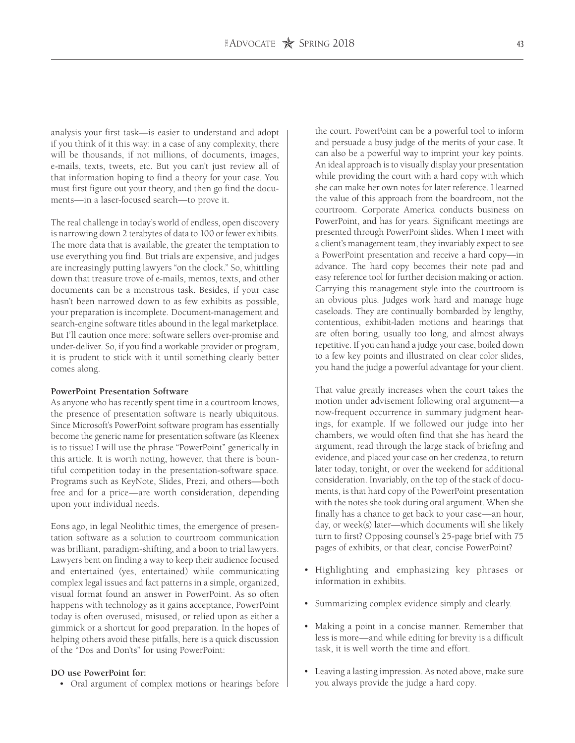analysis your first task—is easier to understand and adopt if you think of it this way: in a case of any complexity, there will be thousands, if not millions, of documents, images, e-mails, texts, tweets, etc. But you can't just review all of that information hoping to find a theory for your case. You must first figure out your theory, and then go find the documents—in a laser-focused search—to prove it.

The real challenge in today's world of endless, open discovery is narrowing down 2 terabytes of data to 100 or fewer exhibits. The more data that is available, the greater the temptation to use everything you find. But trials are expensive, and judges are increasingly putting lawyers "on the clock." So, whittling down that treasure trove of e-mails, memos, texts, and other documents can be a monstrous task. Besides, if your case hasn't been narrowed down to as few exhibits as possible, your preparation is incomplete. Document-management and search-engine software titles abound in the legal marketplace. But I'll caution once more: software sellers over-promise and under-deliver. So, if you find a workable provider or program, it is prudent to stick with it until something clearly better comes along.

#### **PowerPoint Presentation Software**

As anyone who has recently spent time in a courtroom knows, the presence of presentation software is nearly ubiquitous. Since Microsoft's PowerPoint software program has essentially become the generic name for presentation software (as Kleenex is to tissue) I will use the phrase "PowerPoint" generically in this article. It is worth noting, however, that there is bountiful competition today in the presentation-software space. Programs such as KeyNote, Slides, Prezi, and others—both free and for a price—are worth consideration, depending upon your individual needs.

Eons ago, in legal Neolithic times, the emergence of presentation software as a solution to courtroom communication was brilliant, paradigm-shifting, and a boon to trial lawyers. Lawyers bent on finding a way to keep their audience focused and entertained (yes, entertained) while communicating complex legal issues and fact patterns in a simple, organized, visual format found an answer in PowerPoint. As so often happens with technology as it gains acceptance, PowerPoint today is often overused, misused, or relied upon as either a gimmick or a shortcut for good preparation. In the hopes of helping others avoid these pitfalls, here is a quick discussion of the "Dos and Don'ts" for using PowerPoint:

### **DO use PowerPoint for:**

• Oral argument of complex motions or hearings before

the court. PowerPoint can be a powerful tool to inform and persuade a busy judge of the merits of your case. It can also be a powerful way to imprint your key points. An ideal approach is to visually display your presentation while providing the court with a hard copy with which she can make her own notes for later reference. I learned the value of this approach from the boardroom, not the courtroom. Corporate America conducts business on PowerPoint, and has for years. Significant meetings are presented through PowerPoint slides. When I meet with a client's management team, they invariably expect to see a PowerPoint presentation and receive a hard copy—in advance. The hard copy becomes their note pad and easy reference tool for further decision making or action. Carrying this management style into the courtroom is an obvious plus. Judges work hard and manage huge caseloads. They are continually bombarded by lengthy, contentious, exhibit-laden motions and hearings that are often boring, usually too long, and almost always repetitive. If you can hand a judge your case, boiled down to a few key points and illustrated on clear color slides, you hand the judge a powerful advantage for your client.

That value greatly increases when the court takes the motion under advisement following oral argument—a now-frequent occurrence in summary judgment hearings, for example. If we followed our judge into her chambers, we would often find that she has heard the argument, read through the large stack of briefing and evidence, and placed your case on her credenza, to return later today, tonight, or over the weekend for additional consideration. Invariably, on the top of the stack of documents, is that hard copy of the PowerPoint presentation with the notes she took during oral argument. When she finally has a chance to get back to your case—an hour, day, or week(s) later—which documents will she likely turn to first? Opposing counsel's 25-page brief with 75 pages of exhibits, or that clear, concise PowerPoint?

- Highlighting and emphasizing key phrases or information in exhibits.
- Summarizing complex evidence simply and clearly.
- Making a point in a concise manner. Remember that less is more—and while editing for brevity is a difficult task, it is well worth the time and effort.
- Leaving a lasting impression. As noted above, make sure you always provide the judge a hard copy.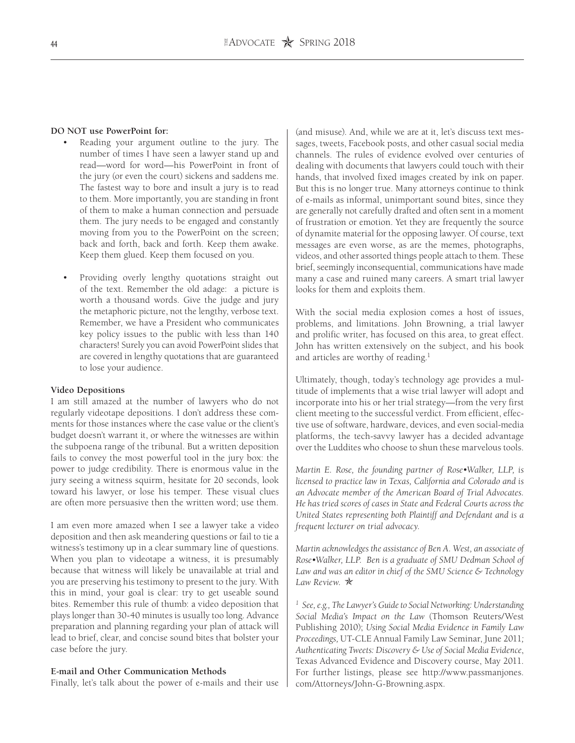#### **DO NOT use PowerPoint for:**

- Reading your argument outline to the jury. The number of times I have seen a lawyer stand up and read—word for word—his PowerPoint in front of the jury (or even the court) sickens and saddens me. The fastest way to bore and insult a jury is to read to them. More importantly, you are standing in front of them to make a human connection and persuade them. The jury needs to be engaged and constantly moving from you to the PowerPoint on the screen; back and forth, back and forth. Keep them awake. Keep them glued. Keep them focused on you.
- Providing overly lengthy quotations straight out of the text. Remember the old adage: a picture is worth a thousand words. Give the judge and jury the metaphoric picture, not the lengthy, verbose text. Remember, we have a President who communicates key policy issues to the public with less than 140 characters! Surely you can avoid PowerPoint slides that are covered in lengthy quotations that are guaranteed to lose your audience.

#### **Video Depositions**

I am still amazed at the number of lawyers who do not regularly videotape depositions. I don't address these comments for those instances where the case value or the client's budget doesn't warrant it, or where the witnesses are within the subpoena range of the tribunal. But a written deposition fails to convey the most powerful tool in the jury box: the power to judge credibility. There is enormous value in the jury seeing a witness squirm, hesitate for 20 seconds, look toward his lawyer, or lose his temper. These visual clues are often more persuasive then the written word; use them.

I am even more amazed when I see a lawyer take a video deposition and then ask meandering questions or fail to tie a witness's testimony up in a clear summary line of questions. When you plan to videotape a witness, it is presumably because that witness will likely be unavailable at trial and you are preserving his testimony to present to the jury. With this in mind, your goal is clear: try to get useable sound bites. Remember this rule of thumb: a video deposition that plays longer than 30-40 minutes is usually too long. Advance preparation and planning regarding your plan of attack will lead to brief, clear, and concise sound bites that bolster your case before the jury.

#### **E-mail and Other Communication Methods**

Finally, let's talk about the power of e-mails and their use

(and misuse). And, while we are at it, let's discuss text messages, tweets, Facebook posts, and other casual social media channels. The rules of evidence evolved over centuries of dealing with documents that lawyers could touch with their hands, that involved fixed images created by ink on paper. But this is no longer true. Many attorneys continue to think of e-mails as informal, unimportant sound bites, since they are generally not carefully drafted and often sent in a moment of frustration or emotion. Yet they are frequently the source of dynamite material for the opposing lawyer. Of course, text messages are even worse, as are the memes, photographs, videos, and other assorted things people attach to them. These brief, seemingly inconsequential, communications have made many a case and ruined many careers. A smart trial lawyer looks for them and exploits them.

With the social media explosion comes a host of issues, problems, and limitations. John Browning, a trial lawyer and prolific writer, has focused on this area, to great effect. John has written extensively on the subject, and his book and articles are worthy of reading.<sup>1</sup>

Ultimately, though, today's technology age provides a multitude of implements that a wise trial lawyer will adopt and incorporate into his or her trial strategy—from the very first client meeting to the successful verdict. From efficient, effective use of software, hardware, devices, and even social-media platforms, the tech-savvy lawyer has a decided advantage over the Luddites who choose to shun these marvelous tools.

*Martin E. Rose, the founding partner of Rose•Walker, LLP, is licensed to practice law in Texas, California and Colorado and is an Advocate member of the American Board of Trial Advocates. He has tried scores of cases in State and Federal Courts across the United States representing both Plaintiff and Defendant and is a frequent lecturer on trial advocacy.*

*Martin acknowledges the assistance of Ben A. West, an associate of Rose•Walker, LLP. Ben is a graduate of SMU Dedman School of Law and was an editor in chief of the SMU Science & Technology*  Law Review.  $\star$ 

<sup>1</sup> See, e.g., The Lawyer's Guide to Social Networking: Understanding *Social Media's Impact on the Law* (Thomson Reuters/West Publishing 2010); *Using Social Media Evidence in Family Law Proceedings,* UT-CLE Annual Family Law Seminar, June 2011*; Authenticating Tweets: Discovery & Use of Social Media Evidence*, Texas Advanced Evidence and Discovery course, May 2011. For further listings, please see http://www.passmanjones. com/Attorneys/John-G-Browning.aspx.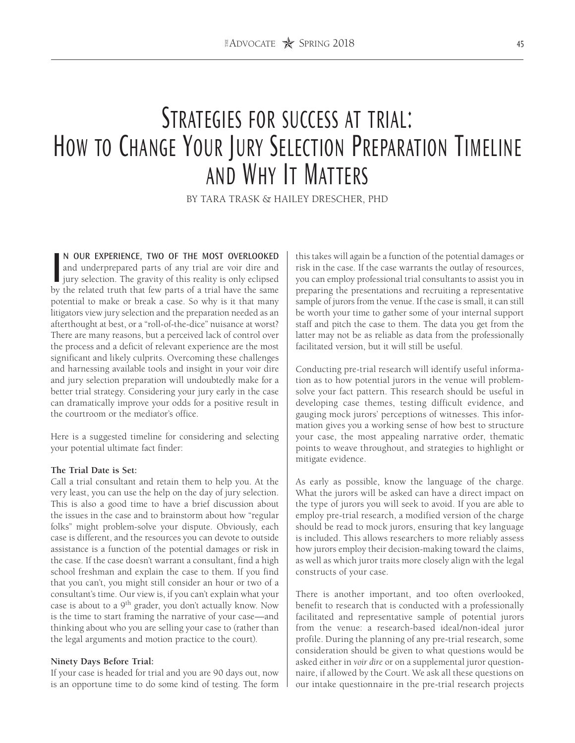# STRATEGIES FOR SUCCESS AT TRIAL: How to Change Your Jury Selection Preparation Timeline and Why It Matters

BY TARA TRASK & HAILEY DRESCHER, PHD

N OUR EXPERIENCE, TWO OF THE MOST OVERLOOKED and underprepared parts of any trial are voir dire and jury selection. The gravity of this reality is only eclipsed by the related truth that few parts of a trial have the same N OUR EXPERIENCE, TWO OF THE MOST OVERLOOKED and underprepared parts of any trial are voir dire and jury selection. The gravity of this reality is only eclipsed potential to make or break a case. So why is it that many litigators view jury selection and the preparation needed as an afterthought at best, or a "roll-of-the-dice" nuisance at worst? There are many reasons, but a perceived lack of control over the process and a deficit of relevant experience are the most significant and likely culprits. Overcoming these challenges and harnessing available tools and insight in your voir dire and jury selection preparation will undoubtedly make for a better trial strategy. Considering your jury early in the case can dramatically improve your odds for a positive result in the courtroom or the mediator's office.

Here is a suggested timeline for considering and selecting your potential ultimate fact finder:

#### **The Trial Date is Set:**

Call a trial consultant and retain them to help you. At the very least, you can use the help on the day of jury selection. This is also a good time to have a brief discussion about the issues in the case and to brainstorm about how "regular folks" might problem-solve your dispute. Obviously, each case is different, and the resources you can devote to outside assistance is a function of the potential damages or risk in the case. If the case doesn't warrant a consultant, find a high school freshman and explain the case to them. If you find that you can't, you might still consider an hour or two of a consultant's time. Our view is, if you can't explain what your case is about to a 9th grader, you don't actually know. Now is the time to start framing the narrative of your case—and thinking about who you are selling your case to (rather than the legal arguments and motion practice to the court).

### **Ninety Days Before Trial:**

If your case is headed for trial and you are 90 days out, now is an opportune time to do some kind of testing. The form this takes will again be a function of the potential damages or risk in the case. If the case warrants the outlay of resources, you can employ professional trial consultants to assist you in preparing the presentations and recruiting a representative sample of jurors from the venue. If the case is small, it can still be worth your time to gather some of your internal support staff and pitch the case to them. The data you get from the latter may not be as reliable as data from the professionally facilitated version, but it will still be useful.

Conducting pre-trial research will identify useful information as to how potential jurors in the venue will problemsolve your fact pattern. This research should be useful in developing case themes, testing difficult evidence, and gauging mock jurors' perceptions of witnesses. This information gives you a working sense of how best to structure your case, the most appealing narrative order, thematic points to weave throughout, and strategies to highlight or mitigate evidence.

As early as possible, know the language of the charge. What the jurors will be asked can have a direct impact on the type of jurors you will seek to avoid. If you are able to employ pre-trial research, a modified version of the charge should be read to mock jurors, ensuring that key language is included. This allows researchers to more reliably assess how jurors employ their decision-making toward the claims, as well as which juror traits more closely align with the legal constructs of your case.

There is another important, and too often overlooked, benefit to research that is conducted with a professionally facilitated and representative sample of potential jurors from the venue: a research-based ideal/non-ideal juror profile. During the planning of any pre-trial research, some consideration should be given to what questions would be asked either in *voir dire* or on a supplemental juror questionnaire, if allowed by the Court. We ask all these questions on our intake questionnaire in the pre-trial research projects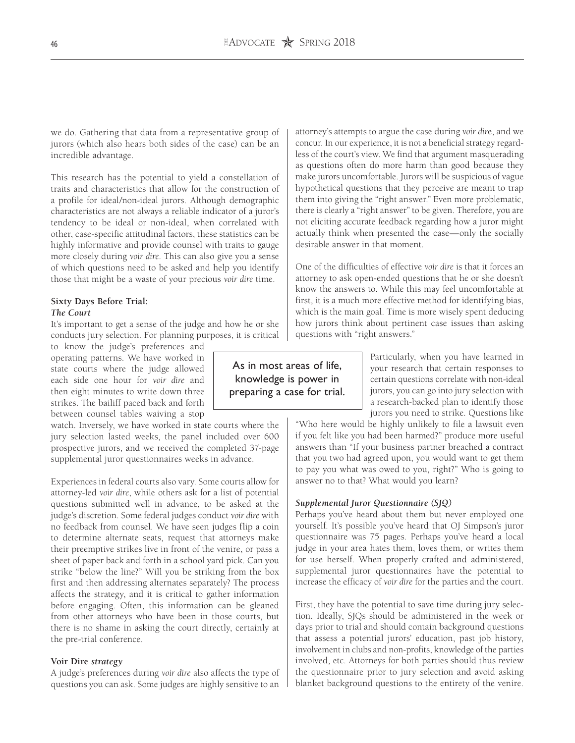we do. Gathering that data from a representative group of jurors (which also hears both sides of the case) can be an incredible advantage.

This research has the potential to yield a constellation of traits and characteristics that allow for the construction of a profile for ideal/non-ideal jurors. Although demographic characteristics are not always a reliable indicator of a juror's tendency to be ideal or non-ideal, when correlated with other, case-specific attitudinal factors, these statistics can be highly informative and provide counsel with traits to gauge more closely during *voir dire*. This can also give you a sense of which questions need to be asked and help you identify those that might be a waste of your precious *voir dire* time.

# **Sixty Days Before Trial:** *The Court*

It's important to get a sense of the judge and how he or she conducts jury selection. For planning purposes, it is critical

to know the judge's preferences and operating patterns. We have worked in state courts where the judge allowed each side one hour for *voir dire* and then eight minutes to write down three strikes. The bailiff paced back and forth between counsel tables waiving a stop

watch. Inversely, we have worked in state courts where the jury selection lasted weeks, the panel included over 600 prospective jurors, and we received the completed 37-page supplemental juror questionnaires weeks in advance.

Experiences in federal courts also vary. Some courts allow for attorney-led *voir dire*, while others ask for a list of potential questions submitted well in advance, to be asked at the judge's discretion. Some federal judges conduct *voir dire* with no feedback from counsel. We have seen judges flip a coin to determine alternate seats, request that attorneys make their preemptive strikes live in front of the venire, or pass a sheet of paper back and forth in a school yard pick. Can you strike "below the line?" Will you be striking from the box first and then addressing alternates separately? The process affects the strategy, and it is critical to gather information before engaging. Often, this information can be gleaned from other attorneys who have been in those courts, but there is no shame in asking the court directly, certainly at the pre-trial conference.

#### **Voir Dire** *strategy*

A judge's preferences during *voir dire* also affects the type of questions you can ask. Some judges are highly sensitive to an attorney's attempts to argue the case during *voir dir*e, and we concur. In our experience, it is not a beneficial strategy regardless of the court's view. We find that argument masquerading as questions often do more harm than good because they make jurors uncomfortable. Jurors will be suspicious of vague hypothetical questions that they perceive are meant to trap them into giving the "right answer." Even more problematic, there is clearly a "right answer" to be given. Therefore, you are not eliciting accurate feedback regarding how a juror might actually think when presented the case—only the socially desirable answer in that moment.

One of the difficulties of effective *voir dire* is that it forces an attorney to ask open-ended questions that he or she doesn't know the answers to. While this may feel uncomfortable at first, it is a much more effective method for identifying bias, which is the main goal. Time is more wisely spent deducing how jurors think about pertinent case issues than asking questions with "right answers."

As in most areas of life, knowledge is power in preparing a case for trial. Particularly, when you have learned in your research that certain responses to certain questions correlate with non-ideal jurors, you can go into jury selection with a research-backed plan to identify those jurors you need to strike. Questions like

"Who here would be highly unlikely to file a lawsuit even if you felt like you had been harmed?" produce more useful answers than "If your business partner breached a contract that you two had agreed upon, you would want to get them to pay you what was owed to you, right?" Who is going to answer no to that? What would you learn?

## *Supplemental Juror Questionnaire (SJQ)*

Perhaps you've heard about them but never employed one yourself. It's possible you've heard that OJ Simpson's juror questionnaire was 75 pages. Perhaps you've heard a local judge in your area hates them, loves them, or writes them for use herself. When properly crafted and administered, supplemental juror questionnaires have the potential to increase the efficacy of *voir dire* for the parties and the court.

First, they have the potential to save time during jury selection. Ideally, SJQs should be administered in the week or days prior to trial and should contain background questions that assess a potential jurors' education, past job history, involvement in clubs and non-profits, knowledge of the parties involved, etc. Attorneys for both parties should thus review the questionnaire prior to jury selection and avoid asking blanket background questions to the entirety of the venire.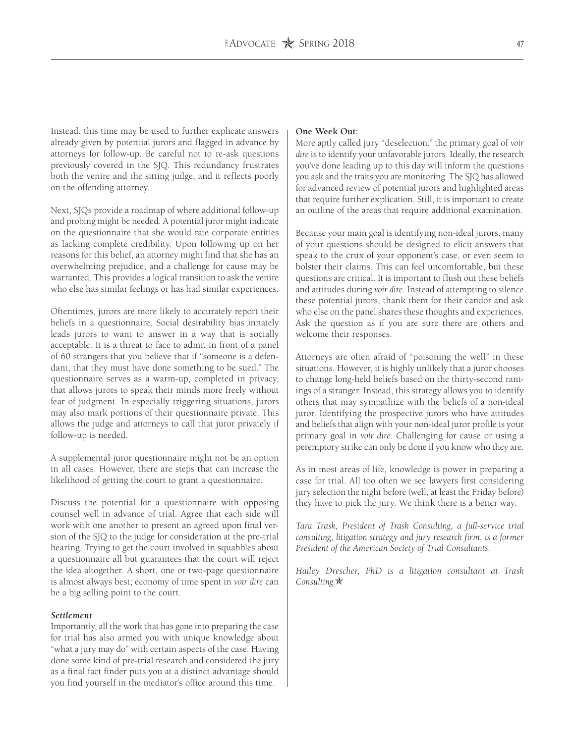Instead, this time may be used to further explicate answers already given by potential jurors and flagged in advance by attorneys for follow-up. Be careful not to re-ask questions previously covered in the SJQ. This redundancy frustrates both the venire and the sitting judge, and it reflects poorly on the offending attorney.

Next, SJQs provide a roadmap of where additional follow-up and probing might be needed. A potential juror might indicate on the questionnaire that she would rate corporate entities as lacking complete credibility. Upon following up on her reasons for this belief, an attorney might find that she has an overwhelming prejudice, and a challenge for cause may be warranted. This provides a logical transition to ask the venire who else has similar feelings or has had similar experiences.

Oftentimes, jurors are more likely to accurately report their beliefs in a questionnaire. Social desirability bias innately leads jurors to want to answer in a way that is socially acceptable. It is a threat to face to admit in front of a panel of 60 strangers that you believe that if "someone is a defendant, that they must have done something to be sued." The questionnaire serves as a warm-up, completed in privacy, that allows jurors to speak their minds more freely without fear of judgment. In especially triggering situations, jurors may also mark portions of their questionnaire private. This allows the judge and attorneys to call that juror privately if follow-up is needed.

A supplemental juror questionnaire might not be an option in all cases. However, there are steps that can increase the likelihood of getting the court to grant a questionnaire.

Discuss the potential for a questionnaire with opposing counsel well in advance of trial. Agree that each side will work with one another to present an agreed upon final version of the SJQ to the judge for consideration at the pre-trial hearing. Trying to get the court involved in squabbles about a questionnaire all but guarantees that the court will reject the idea altogether. A short, one or two-page questionnaire is almost always best; economy of time spent in *voir dire* can be a big selling point to the court.

# *Settlement*

Importantly, all the work that has gone into preparing the case for trial has also armed you with unique knowledge about "what a jury may do" with certain aspects of the case. Having done some kind of pre-trial research and considered the jury as a final fact finder puts you at a distinct advantage should you find yourself in the mediator's office around this time.

#### **One Week Out:**

More aptly called jury "deselection," the primary goal of *voir dire* is to identify your unfavorable jurors. Ideally, the research you've done leading up to this day will inform the questions you ask and the traits you are monitoring. The SJQ has allowed for advanced review of potential jurors and highlighted areas that require further explication. Still, it is important to create an outline of the areas that require additional examination.

Because your main goal is identifying non-ideal jurors, many of your questions should be designed to elicit answers that speak to the crux of your opponent's case, or even seem to bolster their claims. This can feel uncomfortable, but these questions are critical. It is important to flush out these beliefs and attitudes during *voir dire*. Instead of attempting to silence these potential jurors, thank them for their candor and ask who else on the panel shares these thoughts and experiences. Ask the question as if you are sure there are others and welcome their responses.

Attorneys are often afraid of "poisoning the well" in these situations. However, it is highly unlikely that a juror chooses to change long-held beliefs based on the thirty-second rantings of a stranger. Instead, this strategy allows you to identify others that may sympathize with the beliefs of a non-ideal juror. Identifying the prospective jurors who have attitudes and beliefs that align with your non-ideal juror profile is your primary goal in *voir dire*. Challenging for cause or using a peremptory strike can only be done if you know who they are.

As in most areas of life, knowledge is power in preparing a case for trial. All too often we see lawyers first considering jury selection the night before (well, at least the Friday before) they have to pick the jury. We think there is a better way.

*Tara Trask, President of Trask Consulting, a full-service trial consulting, litigation strategy and jury research firm, is a former President of the American Society of Trial Consultants.* 

*Hailey Drescher, PhD is a litigation consultant at Trask Consulting.*★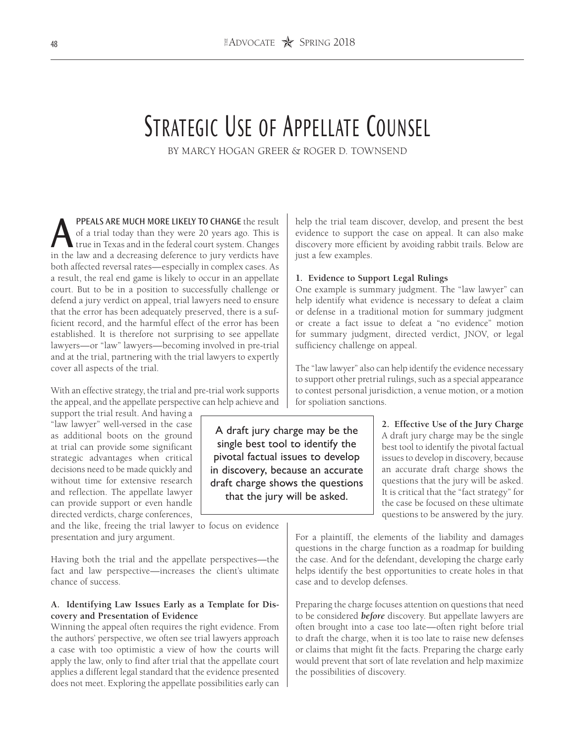# STRATEGIC USE OF APPELLATE COUNSEL

BY MARCY HOGAN GREER & ROGER D. TOWNSEND

A draft jury charge may be the single best tool to identify the pivotal factual issues to develop in discovery, because an accurate draft charge shows the questions that the jury will be asked.

PPEALS ARE MUCH MORE LIKELY TO CHANGE the result of a trial today than they were 20 years ago. This is true in Texas and in the federal court system. Changes in the law and a decreasing deference to jury verdicts have both affected reversal rates—especially in complex cases. As a result, the real end game is likely to occur in an appellate court. But to be in a position to successfully challenge or defend a jury verdict on appeal, trial lawyers need to ensure that the error has been adequately preserved, there is a sufficient record, and the harmful effect of the error has been established. It is therefore not surprising to see appellate lawyers—or "law" lawyers—becoming involved in pre-trial and at the trial, partnering with the trial lawyers to expertly cover all aspects of the trial.

With an effective strategy, the trial and pre-trial work supports the appeal, and the appellate perspective can help achieve and

support the trial result. And having a "law lawyer" well-versed in the case as additional boots on the ground at trial can provide some significant strategic advantages when critical decisions need to be made quickly and without time for extensive research and reflection. The appellate lawyer can provide support or even handle directed verdicts, charge conferences,

and the like, freeing the trial lawyer to focus on evidence presentation and jury argument.

Having both the trial and the appellate perspectives—the fact and law perspective—increases the client's ultimate chance of success.

# **A. Identifying Law Issues Early as a Template for Discovery and Presentation of Evidence**

Winning the appeal often requires the right evidence. From the authors' perspective, we often see trial lawyers approach a case with too optimistic a view of how the courts will apply the law, only to find after trial that the appellate court applies a different legal standard that the evidence presented does not meet. Exploring the appellate possibilities early can help the trial team discover, develop, and present the best evidence to support the case on appeal. It can also make discovery more efficient by avoiding rabbit trails. Below are just a few examples.

## **1. Evidence to Support Legal Rulings**

One example is summary judgment. The "law lawyer" can help identify what evidence is necessary to defeat a claim or defense in a traditional motion for summary judgment or create a fact issue to defeat a "no evidence" motion for summary judgment, directed verdict, JNOV, or legal sufficiency challenge on appeal.

The "law lawyer" also can help identify the evidence necessary to support other pretrial rulings, such as a special appearance to contest personal jurisdiction, a venue motion, or a motion for spoliation sanctions.

> **2. Effective Use of the Jury Charge** A draft jury charge may be the single best tool to identify the pivotal factual issues to develop in discovery, because an accurate draft charge shows the questions that the jury will be asked. It is critical that the "fact strategy" for the case be focused on these ultimate questions to be answered by the jury.

For a plaintiff, the elements of the liability and damages questions in the charge function as a roadmap for building the case. And for the defendant, developing the charge early helps identify the best opportunities to create holes in that case and to develop defenses.

Preparing the charge focuses attention on questions that need to be considered *before* discovery. But appellate lawyers are often brought into a case too late—often right before trial to draft the charge, when it is too late to raise new defenses or claims that might fit the facts. Preparing the charge early would prevent that sort of late revelation and help maximize the possibilities of discovery.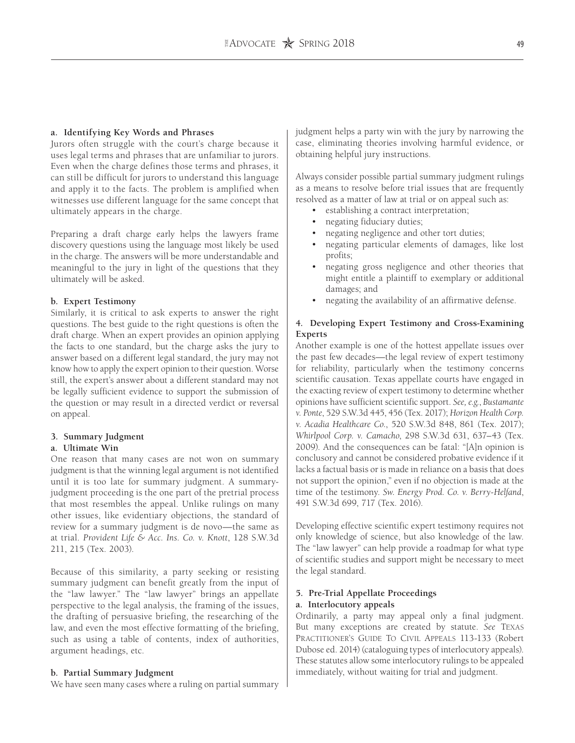### **a. Identifying Key Words and Phrases**

Jurors often struggle with the court's charge because it uses legal terms and phrases that are unfamiliar to jurors. Even when the charge defines those terms and phrases, it can still be difficult for jurors to understand this language and apply it to the facts. The problem is amplified when witnesses use different language for the same concept that ultimately appears in the charge.

Preparing a draft charge early helps the lawyers frame discovery questions using the language most likely be used in the charge. The answers will be more understandable and meaningful to the jury in light of the questions that they ultimately will be asked.

## **b. Expert Testimony**

Similarly, it is critical to ask experts to answer the right questions. The best guide to the right questions is often the draft charge. When an expert provides an opinion applying the facts to one standard, but the charge asks the jury to answer based on a different legal standard, the jury may not know how to apply the expert opinion to their question. Worse still, the expert's answer about a different standard may not be legally sufficient evidence to support the submission of the question or may result in a directed verdict or reversal on appeal.

# **3. Summary Judgment**

#### **a. Ultimate Win**

One reason that many cases are not won on summary judgment is that the winning legal argument is not identified until it is too late for summary judgment. A summaryjudgment proceeding is the one part of the pretrial process that most resembles the appeal. Unlike rulings on many other issues, like evidentiary objections, the standard of review for a summary judgment is de novo—the same as at trial. *Provident Life & Acc. Ins. Co. v. Knott*, 128 S.W.3d 211, 215 (Tex. 2003).

Because of this similarity, a party seeking or resisting summary judgment can benefit greatly from the input of the "law lawyer." The "law lawyer" brings an appellate perspective to the legal analysis, the framing of the issues, the drafting of persuasive briefing, the researching of the law, and even the most effective formatting of the briefing, such as using a table of contents, index of authorities, argument headings, etc.

#### **b. Partial Summary Judgment**

We have seen many cases where a ruling on partial summary

judgment helps a party win with the jury by narrowing the case, eliminating theories involving harmful evidence, or obtaining helpful jury instructions.

Always consider possible partial summary judgment rulings as a means to resolve before trial issues that are frequently resolved as a matter of law at trial or on appeal such as:

- establishing a contract interpretation;
- negating fiduciary duties;
- negating negligence and other tort duties;
- negating particular elements of damages, like lost profits;
- negating gross negligence and other theories that might entitle a plaintiff to exemplary or additional damages; and
- negating the availability of an affirmative defense.

# **4. Developing Expert Testimony and Cross-Examining Experts**

Another example is one of the hottest appellate issues over the past few decades—the legal review of expert testimony for reliability, particularly when the testimony concerns scientific causation. Texas appellate courts have engaged in the exacting review of expert testimony to determine whether opinions have sufficient scientific support. *See, e.g.*, *Bustamante v. Ponte*, 529 S.W.3d 445, 456 (Tex. 2017); *Horizon Health Corp. v. Acadia Healthcare Co.*, 520 S.W.3d 848, 861 (Tex. 2017); *Whirlpool Corp. v. Camacho*, 298 S.W.3d 631, 637–43 (Tex. 2009). And the consequences can be fatal: "[A]n opinion is conclusory and cannot be considered probative evidence if it lacks a factual basis or is made in reliance on a basis that does not support the opinion," even if no objection is made at the time of the testimony. *Sw. Energy Prod. Co. v. Berry-Helfand*, 491 S.W.3d 699, 717 (Tex. 2016).

Developing effective scientific expert testimony requires not only knowledge of science, but also knowledge of the law. The "law lawyer" can help provide a roadmap for what type of scientific studies and support might be necessary to meet the legal standard.

# **5. Pre-Trial Appellate Proceedings a. Interlocutory appeals**

Ordinarily, a party may appeal only a final judgment. But many exceptions are created by statute. *See* Texas Practitioner's Guide To Civil Appeals 113-133 (Robert Dubose ed. 2014) (cataloguing types of interlocutory appeals). These statutes allow some interlocutory rulings to be appealed immediately, without waiting for trial and judgment.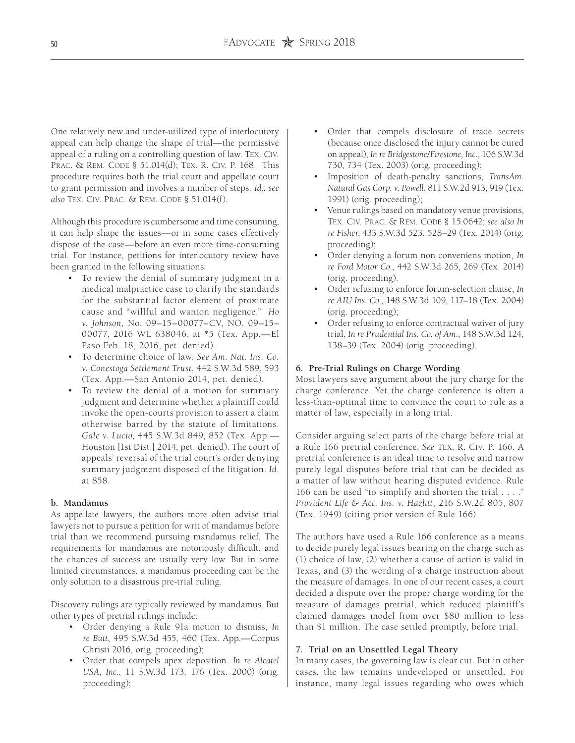One relatively new and under-utilized type of interlocutory appeal can help change the shape of trial—the permissive appeal of a ruling on a controlling question of law. Tex. Civ. Prac. & Rem. Code § 51.014(d); Tex. R. Civ. P. 168. This procedure requires both the trial court and appellate court to grant permission and involves a number of steps. *Id.*; *see also* Tex. Civ. Prac. & Rem. Code § 51.014(f).

Although this procedure is cumbersome and time consuming, it can help shape the issues—or in some cases effectively dispose of the case—before an even more time-consuming trial. For instance, petitions for interlocutory review have been granted in the following situations:

- To review the denial of summary judgment in a medical malpractice case to clarify the standards for the substantial factor element of proximate cause and "willful and wanton negligence." *Ho v. Johnson*, No. 09–15–00077–CV, NO. 09–15– 00077, 2016 WL 638046, at \*5 (Tex. App.—El Paso Feb. 18, 2016, pet. denied).
- To determine choice of law. *See Am. Nat. Ins. Co. v. Conestoga Settlement Trust*, 442 S.W.3d 589, 593 (Tex. App.—San Antonio 2014, pet. denied).
- To review the denial of a motion for summary judgment and determine whether a plaintiff could invoke the open-courts provision to assert a claim otherwise barred by the statute of limitations. *Gale v. Lucio*, 445 S.W.3d 849, 852 (Tex. App.— Houston [1st Dist.] 2014, pet. denied). The court of appeals' reversal of the trial court's order denying summary judgment disposed of the litigation. *Id*. at 858.

# **b. Mandamus**

As appellate lawyers, the authors more often advise trial lawyers not to pursue a petition for writ of mandamus before trial than we recommend pursuing mandamus relief. The requirements for mandamus are notoriously difficult, and the chances of success are usually very low. But in some limited circumstances, a mandamus proceeding can be the only solution to a disastrous pre-trial ruling.

Discovery rulings are typically reviewed by mandamus. But other types of pretrial rulings include:

- Order denying a Rule 91a motion to dismiss, *In re Butt*, 495 S.W.3d 455, 460 (Tex. App.—Corpus Christi 2016, orig. proceeding);
- Order that compels apex deposition. *In re Alcatel USA, Inc*., 11 S.W.3d 173, 176 (Tex. 2000) (orig. proceeding);
- Order that compels disclosure of trade secrets (because once disclosed the injury cannot be cured on appeal), *In re Bridgestone/Firestone, Inc*., 106 S.W.3d 730, 734 (Tex. 2003) (orig. proceeding);
- Imposition of death-penalty sanctions, *TransAm. Natural Gas Corp. v. Powell*, 811 S.W.2d 913, 919 (Tex. 1991) (orig. proceeding);
- Venue rulings based on mandatory venue provisions, Tex. Civ. Prac. & Rem. Code § 15.0642; *see also In re Fisher*, 433 S.W.3d 523, 528–29 (Tex. 2014) (orig. proceeding);
- Order denying a forum non conveniens motion, *In re Ford Motor Co*., 442 S.W.3d 265, 269 (Tex. 2014) (orig. proceeding).
- Order refusing to enforce forum-selection clause, *In re AIU Ins. Co*., 148 S.W.3d 109, 117–18 (Tex. 2004) (orig. proceeding);
- Order refusing to enforce contractual waiver of jury trial, *In re Prudential Ins. Co. of Am*., 148 S.W.3d 124, 138–39 (Tex. 2004) (orig. proceeding).

## **6. Pre-Trial Rulings on Charge Wording**

Most lawyers save argument about the jury charge for the charge conference. Yet the charge conference is often a less-than-optimal time to convince the court to rule as a matter of law, especially in a long trial.

Consider arguing select parts of the charge before trial at a Rule 166 pretrial conference. *See* Tex. R. Civ. P. 166. A pretrial conference is an ideal time to resolve and narrow purely legal disputes before trial that can be decided as a matter of law without hearing disputed evidence. Rule 166 can be used "to simplify and shorten the trial . . . ." *Provident Life & Acc. Ins. v. Hazlitt*, 216 S.W.2d 805, 807 (Tex. 1949) (citing prior version of Rule 166).

The authors have used a Rule 166 conference as a means to decide purely legal issues bearing on the charge such as (1) choice of law, (2) whether a cause of action is valid in Texas, and (3) the wording of a charge instruction about the measure of damages. In one of our recent cases, a court decided a dispute over the proper charge wording for the measure of damages pretrial, which reduced plaintiff's claimed damages model from over \$80 million to less than \$1 million. The case settled promptly, before trial.

#### **7. Trial on an Unsettled Legal Theory**

In many cases, the governing law is clear cut. But in other cases, the law remains undeveloped or unsettled. For instance, many legal issues regarding who owes which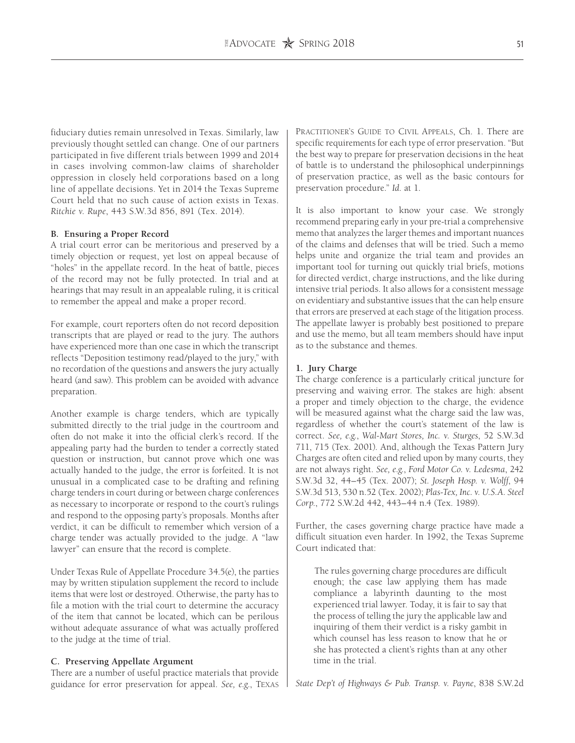fiduciary duties remain unresolved in Texas. Similarly, law previously thought settled can change. One of our partners participated in five different trials between 1999 and 2014 in cases involving common-law claims of shareholder oppression in closely held corporations based on a long line of appellate decisions. Yet in 2014 the Texas Supreme Court held that no such cause of action exists in Texas. *Ritchie v. Rupe*, 443 S.W.3d 856, 891 (Tex. 2014).

## **B. Ensuring a Proper Record**

A trial court error can be meritorious and preserved by a timely objection or request, yet lost on appeal because of "holes" in the appellate record. In the heat of battle, pieces of the record may not be fully protected. In trial and at hearings that may result in an appealable ruling, it is critical to remember the appeal and make a proper record.

For example, court reporters often do not record deposition transcripts that are played or read to the jury. The authors have experienced more than one case in which the transcript reflects "Deposition testimony read/played to the jury," with no recordation of the questions and answers the jury actually heard (and saw). This problem can be avoided with advance preparation.

Another example is charge tenders, which are typically submitted directly to the trial judge in the courtroom and often do not make it into the official clerk's record. If the appealing party had the burden to tender a correctly stated question or instruction, but cannot prove which one was actually handed to the judge, the error is forfeited. It is not unusual in a complicated case to be drafting and refining charge tenders in court during or between charge conferences as necessary to incorporate or respond to the court's rulings and respond to the opposing party's proposals. Months after verdict, it can be difficult to remember which version of a charge tender was actually provided to the judge. A "law lawyer" can ensure that the record is complete.

Under Texas Rule of Appellate Procedure 34.5(e), the parties may by written stipulation supplement the record to include items that were lost or destroyed. Otherwise, the party has to file a motion with the trial court to determine the accuracy of the item that cannot be located, which can be perilous without adequate assurance of what was actually proffered to the judge at the time of trial.

### **C. Preserving Appellate Argument**

There are a number of useful practice materials that provide guidance for error preservation for appeal. *See, e.g*., Texas Practitioner's Guide to Civil Appeals, Ch. 1. There are specific requirements for each type of error preservation. "But the best way to prepare for preservation decisions in the heat of battle is to understand the philosophical underpinnings of preservation practice, as well as the basic contours for preservation procedure." *Id*. at 1.

It is also important to know your case. We strongly recommend preparing early in your pre-trial a comprehensive memo that analyzes the larger themes and important nuances of the claims and defenses that will be tried. Such a memo helps unite and organize the trial team and provides an important tool for turning out quickly trial briefs, motions for directed verdict, charge instructions, and the like during intensive trial periods. It also allows for a consistent message on evidentiary and substantive issues that the can help ensure that errors are preserved at each stage of the litigation process. The appellate lawyer is probably best positioned to prepare and use the memo, but all team members should have input as to the substance and themes.

#### **1. Jury Charge**

The charge conference is a particularly critical juncture for preserving and waiving error. The stakes are high: absent a proper and timely objection to the charge, the evidence will be measured against what the charge said the law was, regardless of whether the court's statement of the law is correct. *See, e.g.*, *Wal-Mart Stores, Inc. v. Sturges*, 52 S.W.3d 711, 715 (Tex. 2001). And, although the Texas Pattern Jury Charges are often cited and relied upon by many courts, they are not always right. *See, e.g.*, *Ford Motor Co. v. Ledesma*, 242 S.W.3d 32, 44–45 (Tex. 2007); *St. Joseph Hosp. v. Wolff*, 94 S.W.3d 513, 530 n.52 (Tex. 2002); *Plas-Tex, Inc. v. U.S.A. Steel Corp*., 772 S.W.2d 442, 443–44 n.4 (Tex. 1989).

Further, the cases governing charge practice have made a difficult situation even harder. In 1992, the Texas Supreme Court indicated that:

The rules governing charge procedures are difficult enough; the case law applying them has made compliance a labyrinth daunting to the most experienced trial lawyer. Today, it is fair to say that the process of telling the jury the applicable law and inquiring of them their verdict is a risky gambit in which counsel has less reason to know that he or she has protected a client's rights than at any other time in the trial.

*State Dep't of Highways & Pub. Transp. v. Payne*, 838 S.W.2d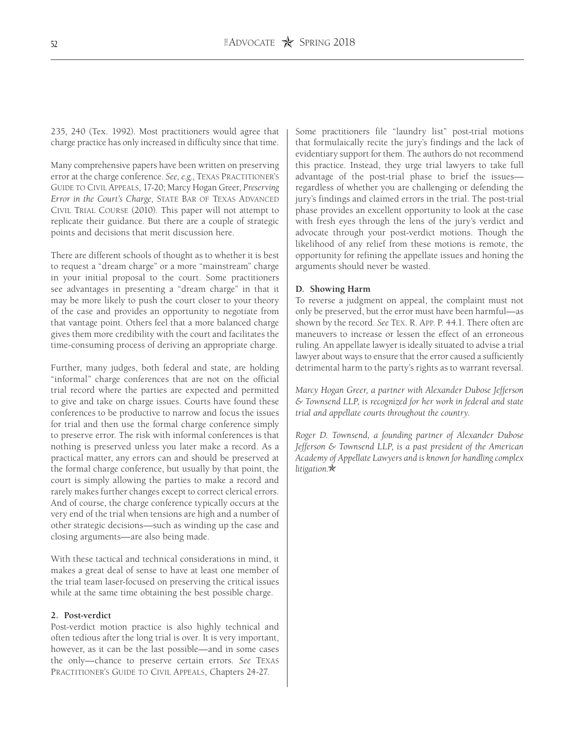235, 240 (Tex. 1992). Most practitioners would agree that charge practice has only increased in difficulty since that time.

Many comprehensive papers have been written on preserving error at the charge conference. *See, e.g.*, Texas Practitioner's Guide to Civil Appeals, 17-20; Marcy Hogan Greer, *Preserving Error in the Court's Charge*, STATE BAR OF TEXAS ADVANCED Civil Trial Course (2010). This paper will not attempt to replicate their guidance. But there are a couple of strategic points and decisions that merit discussion here.

There are different schools of thought as to whether it is best to request a "dream charge" or a more "mainstream" charge in your initial proposal to the court. Some practitioners see advantages in presenting a "dream charge" in that it may be more likely to push the court closer to your theory of the case and provides an opportunity to negotiate from that vantage point. Others feel that a more balanced charge gives them more credibility with the court and facilitates the time-consuming process of deriving an appropriate charge.

Further, many judges, both federal and state, are holding "informal" charge conferences that are not on the official trial record where the parties are expected and permitted to give and take on charge issues. Courts have found these conferences to be productive to narrow and focus the issues for trial and then use the formal charge conference simply to preserve error. The risk with informal conferences is that nothing is preserved unless you later make a record. As a practical matter, any errors can and should be preserved at the formal charge conference, but usually by that point, the court is simply allowing the parties to make a record and rarely makes further changes except to correct clerical errors. And of course, the charge conference typically occurs at the very end of the trial when tensions are high and a number of other strategic decisions—such as winding up the case and closing arguments—are also being made.

With these tactical and technical considerations in mind, it makes a great deal of sense to have at least one member of the trial team laser-focused on preserving the critical issues while at the same time obtaining the best possible charge.

#### **2. Post-verdict**

Post-verdict motion practice is also highly technical and often tedious after the long trial is over. It is very important, however, as it can be the last possible—and in some cases the only—chance to preserve certain errors. *See* Texas Practitioner's Guide to Civil Appeals, Chapters 24-27.

Some practitioners file "laundry list" post-trial motions that formulaically recite the jury's findings and the lack of evidentiary support for them. The authors do not recommend this practice. Instead, they urge trial lawyers to take full advantage of the post-trial phase to brief the issues regardless of whether you are challenging or defending the jury's findings and claimed errors in the trial. The post-trial phase provides an excellent opportunity to look at the case with fresh eyes through the lens of the jury's verdict and advocate through your post-verdict motions. Though the likelihood of any relief from these motions is remote, the opportunity for refining the appellate issues and honing the arguments should never be wasted.

#### **D. Showing Harm**

To reverse a judgment on appeal, the complaint must not only be preserved, but the error must have been harmful—as shown by the record. *See* Tex. R. App. P. 44.1. There often are maneuvers to increase or lessen the effect of an erroneous ruling. An appellate lawyer is ideally situated to advise a trial lawyer about ways to ensure that the error caused a sufficiently detrimental harm to the party's rights as to warrant reversal.

*Marcy Hogan Greer, a partner with Alexander Dubose Jefferson & Townsend LLP, is recognized for her work in federal and state trial and appellate courts throughout the country.*

*Roger D. Townsend, a founding partner of Alexander Dubose Jefferson & Townsend LLP, is a past president of the American Academy of Appellate Lawyers and is known for handling complex litigation.*O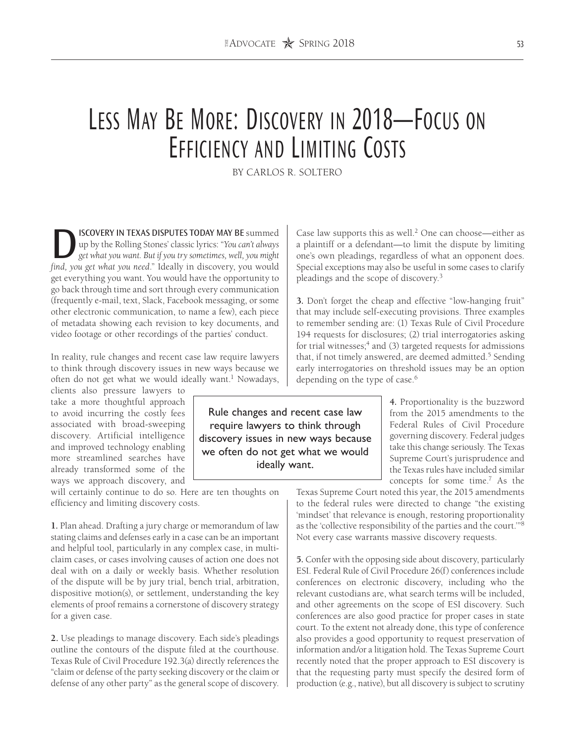# Less May Be More: Discovery in 2018—Focus on EFFICIENCY AND LIMITING COSTS

BY CARLOS R. SOLTERO

**SCOVERY IN TEXAS DISPUTES TODAY MAY BE** summed up by the Rolling Stones' classic lyrics: "*You can't always get what you want. But if you try sometimes, well, you might find* you *get what you need* " Ideally in discove up by the Rolling Stones' classic lyrics: "*You can't always find, you get what you need*." Ideally in discovery, you would get everything you want. You would have the opportunity to go back through time and sort through every communication (frequently e-mail, text, Slack, Facebook messaging, or some other electronic communication, to name a few), each piece of metadata showing each revision to key documents, and video footage or other recordings of the parties' conduct.

In reality, rule changes and recent case law require lawyers to think through discovery issues in new ways because we often do not get what we would ideally want.<sup>1</sup> Nowadays,

clients also pressure lawyers to take a more thoughtful approach to avoid incurring the costly fees associated with broad-sweeping discovery. Artificial intelligence and improved technology enabling more streamlined searches have already transformed some of the ways we approach discovery, and

will certainly continue to do so. Here are ten thoughts on efficiency and limiting discovery costs.

**1.** Plan ahead. Drafting a jury charge or memorandum of law stating claims and defenses early in a case can be an important and helpful tool, particularly in any complex case, in multiclaim cases, or cases involving causes of action one does not deal with on a daily or weekly basis. Whether resolution of the dispute will be by jury trial, bench trial, arbitration, dispositive motion(s), or settlement, understanding the key elements of proof remains a cornerstone of discovery strategy for a given case.

**2.** Use pleadings to manage discovery. Each side's pleadings outline the contours of the dispute filed at the courthouse. Texas Rule of Civil Procedure 192.3(a) directly references the "claim or defense of the party seeking discovery or the claim or defense of any other party" as the general scope of discovery. Case law supports this as well.2 One can choose—either as a plaintiff or a defendant—to limit the dispute by limiting one's own pleadings, regardless of what an opponent does. Special exceptions may also be useful in some cases to clarify pleadings and the scope of discovery.3

**3.** Don't forget the cheap and effective "low-hanging fruit" that may include self-executing provisions. Three examples to remember sending are: (1) Texas Rule of Civil Procedure 194 requests for disclosures; (2) trial interrogatories asking for trial witnesses; $4$  and (3) targeted requests for admissions that, if not timely answered, are deemed admitted.<sup>5</sup> Sending early interrogatories on threshold issues may be an option depending on the type of case.<sup>6</sup>

> **4.** Proportionality is the buzzword from the 2015 amendments to the Federal Rules of Civil Procedure governing discovery. Federal judges take this change seriously. The Texas Supreme Court's jurisprudence and the Texas rules have included similar concepts for some time.7 As the

Texas Supreme Court noted this year, the 2015 amendments to the federal rules were directed to change "the existing 'mindset' that relevance is enough, restoring proportionality as the 'collective responsibility of the parties and the court.'"8 Not every case warrants massive discovery requests.

**5.** Confer with the opposing side about discovery, particularly ESI. Federal Rule of Civil Procedure 26(f) conferences include conferences on electronic discovery, including who the relevant custodians are, what search terms will be included, and other agreements on the scope of ESI discovery. Such conferences are also good practice for proper cases in state court. To the extent not already done, this type of conference also provides a good opportunity to request preservation of information and/or a litigation hold. The Texas Supreme Court recently noted that the proper approach to ESI discovery is that the requesting party must specify the desired form of production (e.g., native), but all discovery is subject to scrutiny

Rule changes and recent case law require lawyers to think through discovery issues in new ways because we often do not get what we would ideally want.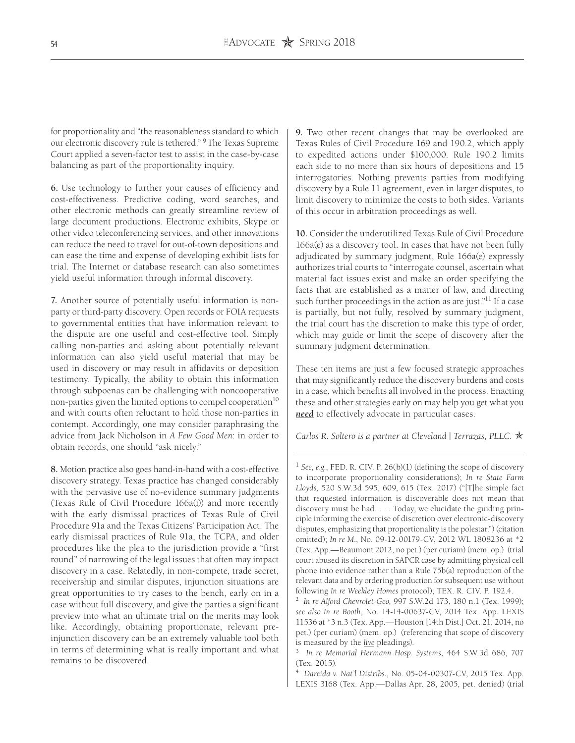for proportionality and "the reasonableness standard to which our electronic discovery rule is tethered." 9 The Texas Supreme Court applied a seven-factor test to assist in the case-by-case balancing as part of the proportionality inquiry.

**6.** Use technology to further your causes of efficiency and cost-effectiveness. Predictive coding, word searches, and other electronic methods can greatly streamline review of large document productions. Electronic exhibits, Skype or other video teleconferencing services, and other innovations can reduce the need to travel for out-of-town depositions and can ease the time and expense of developing exhibit lists for trial. The Internet or database research can also sometimes yield useful information through informal discovery.

**7.** Another source of potentially useful information is nonparty or third-party discovery. Open records or FOIA requests to governmental entities that have information relevant to the dispute are one useful and cost-effective tool. Simply calling non-parties and asking about potentially relevant information can also yield useful material that may be used in discovery or may result in affidavits or deposition testimony. Typically, the ability to obtain this information through subpoenas can be challenging with noncooperative non-parties given the limited options to compel cooperation<sup>10</sup> and with courts often reluctant to hold those non-parties in contempt. Accordingly, one may consider paraphrasing the advice from Jack Nicholson in *A Few Good Men*: in order to obtain records, one should "ask nicely."

**8.** Motion practice also goes hand-in-hand with a cost-effective discovery strategy. Texas practice has changed considerably with the pervasive use of no-evidence summary judgments (Texas Rule of Civil Procedure 166a(i)) and more recently with the early dismissal practices of Texas Rule of Civil Procedure 91a and the Texas Citizens' Participation Act. The early dismissal practices of Rule 91a, the TCPA, and older procedures like the plea to the jurisdiction provide a "first round" of narrowing of the legal issues that often may impact discovery in a case. Relatedly, in non-compete, trade secret, receivership and similar disputes, injunction situations are great opportunities to try cases to the bench, early on in a case without full discovery, and give the parties a significant preview into what an ultimate trial on the merits may look like. Accordingly, obtaining proportionate, relevant preinjunction discovery can be an extremely valuable tool both in terms of determining what is really important and what remains to be discovered.

**9.** Two other recent changes that may be overlooked are Texas Rules of Civil Procedure 169 and 190.2, which apply to expedited actions under \$100,000. Rule 190.2 limits each side to no more than six hours of depositions and 15 interrogatories. Nothing prevents parties from modifying discovery by a Rule 11 agreement, even in larger disputes, to limit discovery to minimize the costs to both sides. Variants of this occur in arbitration proceedings as well.

**10.** Consider the underutilized Texas Rule of Civil Procedure 166a(e) as a discovery tool. In cases that have not been fully adjudicated by summary judgment, Rule 166a(e) expressly authorizes trial courts to "interrogate counsel, ascertain what material fact issues exist and make an order specifying the facts that are established as a matter of law, and directing such further proceedings in the action as are just."<sup>11</sup> If a case is partially, but not fully, resolved by summary judgment, the trial court has the discretion to make this type of order, which may guide or limit the scope of discovery after the summary judgment determination.

These ten items are just a few focused strategic approaches that may significantly reduce the discovery burdens and costs in a case, which benefits all involved in the process. Enacting these and other strategies early on may help you get what you *need* to effectively advocate in particular cases.

*Carlos R. Soltero is a partner at Cleveland | Terrazas, PLLC.* ★

<sup>1</sup> *See, e.g.*, FED. R. CIV. P. 26(b)(1) (defining the scope of discovery to incorporate proportionality considerations); *In re State Farm Lloyds,* 520 S.W.3d 595, 609, 615 (Tex. 2017) ("[T]he simple fact that requested information is discoverable does not mean that discovery must be had. . . . Today, we elucidate the guiding principle informing the exercise of discretion over electronic-discovery disputes, emphasizing that proportionality is the polestar.") (citation omitted); *In re M.*, No. 09-12-00179-CV, 2012 WL 1808236 at \*2 (Tex. App.—Beaumont 2012, no pet.) (per curiam) (mem. op.) (trial court abused its discretion in SAPCR case by admitting physical cell phone into evidence rather than a Rule 75b(a) reproduction of the relevant data and by ordering production for subsequent use without following *In re Weekley Homes* protocol); TEX. R. CIV. P. 192.4.

3 *In re Memorial Hermann Hosp. Systems*, 464 S.W.3d 686, 707 (Tex. 2015).

4 *Dareida v. Nat'l Distribs.*, No. 05-04-00307-CV, 2015 Tex. App. LEXIS 3168 (Tex. App.—Dallas Apr. 28, 2005, pet. denied) (trial

<sup>2</sup> *In re Alford Chevrolet-Geo,* 997 S.W.2d 173, 180 n.1 (Tex. 1999); *see also In re Booth*, No. 14-14-00637-CV, 2014 Tex. App. LEXIS 11536 at \*3 n.3 (Tex. App.—Houston [14th Dist.] Oct. 21, 2014, no pet.) (per curiam) (mem. op.) (referencing that scope of discovery is measured by the *live* pleadings).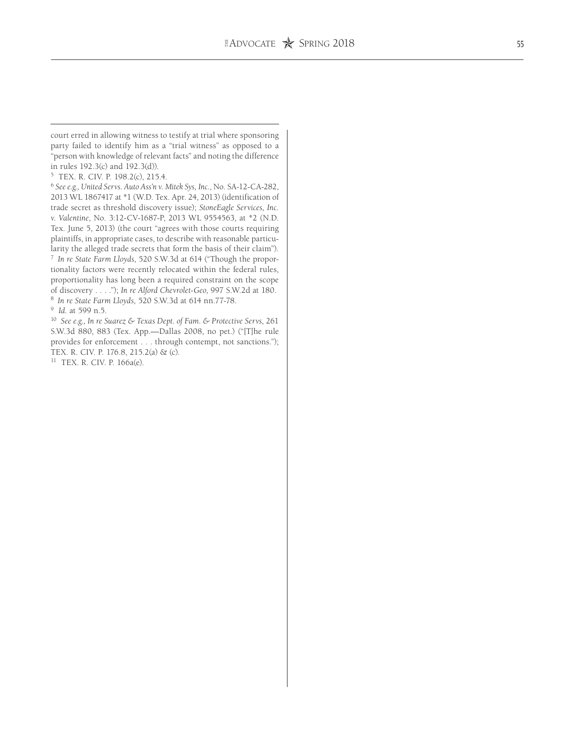court erred in allowing witness to testify at trial where sponsoring party failed to identify him as a "trial witness" as opposed to a "person with knowledge of relevant facts" and noting the difference in rules 192.3(c) and 192.3(d)).

5 TEX. R. CIV. P. 198.2(c), 215.4.

<sup>6</sup> *See e.g., United Servs. Auto Ass'n v. Mitek Sys, Inc.*, No. SA-12-CA-282, 2013 WL 1867417 at \*1 (W.D. Tex. Apr. 24, 2013) (identification of trade secret as threshold discovery issue); *StoneEagle Services, Inc. v. Valentine*, No. 3:12-CV-1687-P, 2013 WL 9554563, at \*2 (N.D. Tex. June 5, 2013) (the court "agrees with those courts requiring plaintiffs, in appropriate cases, to describe with reasonable particularity the alleged trade secrets that form the basis of their claim"). 7 *In re State Farm Lloyds*, 520 S.W.3d at 614 ("Though the propor-

tionality factors were recently relocated within the federal rules, proportionality has long been a required constraint on the scope of discovery . . . ."); *In re Alford Chevrolet-Geo*, 997 S.W.2d at 180. <sup>8</sup>*In re State Farm Lloyds,* 520 S.W.3d at 614 nn.77-78.

9 *Id.* at 599 n.5.

10 *See e.g., In re Suarez & Texas Dept. of Fam. & Protective Servs*, 261 S.W.3d 880, 883 (Tex. App.—Dallas 2008, no pet.) ("[T]he rule provides for enforcement . . . through contempt, not sanctions."); TEX. R. CIV. P. 176.8, 215.2(a) & (c).

11 TEX. R. CIV. P. 166a(e).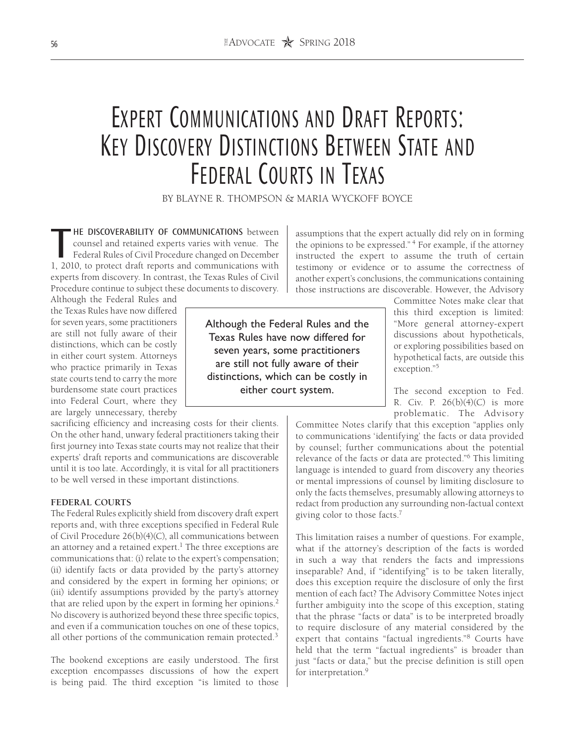# EXPERT COMMUNICATIONS AND DRAFT REPORTS: Key Discovery Distinctions Between State and Federal Courts in Texas

BY BLAYNE R. THOMPSON & MARIA WYCKOFF BOYCE

**THE DISCOVERABILITY OF COMMUNICATIONS** between<br>counsel and retained experts varies with venue. The<br>Federal Rules of Civil Procedure changed on December<br>1 2010, to protect draft reports and communications with counsel and retained experts varies with venue. The Federal Rules of Civil Procedure changed on December 1, 2010, to protect draft reports and communications with experts from discovery. In contrast, the Texas Rules of Civil Procedure continue to subject these documents to discovery.

Although the Federal Rules and the Texas Rules have now differed for seven years, some practitioners are still not fully aware of their distinctions, which can be costly in either court system. Attorneys who practice primarily in Texas state courts tend to carry the more burdensome state court practices into Federal Court, where they are largely unnecessary, thereby

sacrificing efficiency and increasing costs for their clients. On the other hand, unwary federal practitioners taking their first journey into Texas state courts may not realize that their experts' draft reports and communications are discoverable until it is too late. Accordingly, it is vital for all practitioners to be well versed in these important distinctions.

### **FEDERAL COURTS**

The Federal Rules explicitly shield from discovery draft expert reports and, with three exceptions specified in Federal Rule of Civil Procedure 26(b)(4)(C), all communications between an attorney and a retained expert.<sup>1</sup> The three exceptions are communications that: (i) relate to the expert's compensation; (ii) identify facts or data provided by the party's attorney and considered by the expert in forming her opinions; or (iii) identify assumptions provided by the party's attorney that are relied upon by the expert in forming her opinions.2 No discovery is authorized beyond these three specific topics, and even if a communication touches on one of these topics, all other portions of the communication remain protected.3

The bookend exceptions are easily understood. The first exception encompasses discussions of how the expert is being paid. The third exception "is limited to those assumptions that the expert actually did rely on in forming the opinions to be expressed." 4 For example, if the attorney instructed the expert to assume the truth of certain testimony or evidence or to assume the correctness of another expert's conclusions, the communications containing those instructions are discoverable. However, the Advisory

Although the Federal Rules and the Texas Rules have now differed for seven years, some practitioners are still not fully aware of their distinctions, which can be costly in either court system.

Committee Notes make clear that this third exception is limited: "More general attorney-expert discussions about hypotheticals, or exploring possibilities based on hypothetical facts, are outside this exception."5

The second exception to Fed. R. Civ. P. 26(b)(4)(C) is more problematic. The Advisory

Committee Notes clarify that this exception "applies only to communications 'identifying' the facts or data provided by counsel; further communications about the potential relevance of the facts or data are protected."6 This limiting language is intended to guard from discovery any theories or mental impressions of counsel by limiting disclosure to only the facts themselves, presumably allowing attorneys to redact from production any surrounding non-factual context giving color to those facts.7

This limitation raises a number of questions. For example, what if the attorney's description of the facts is worded in such a way that renders the facts and impressions inseparable? And, if "identifying" is to be taken literally, does this exception require the disclosure of only the first mention of each fact? The Advisory Committee Notes inject further ambiguity into the scope of this exception, stating that the phrase "facts or data" is to be interpreted broadly to require disclosure of any material considered by the expert that contains "factual ingredients."8 Courts have held that the term "factual ingredients" is broader than just "facts or data," but the precise definition is still open for interpretation.<sup>9</sup>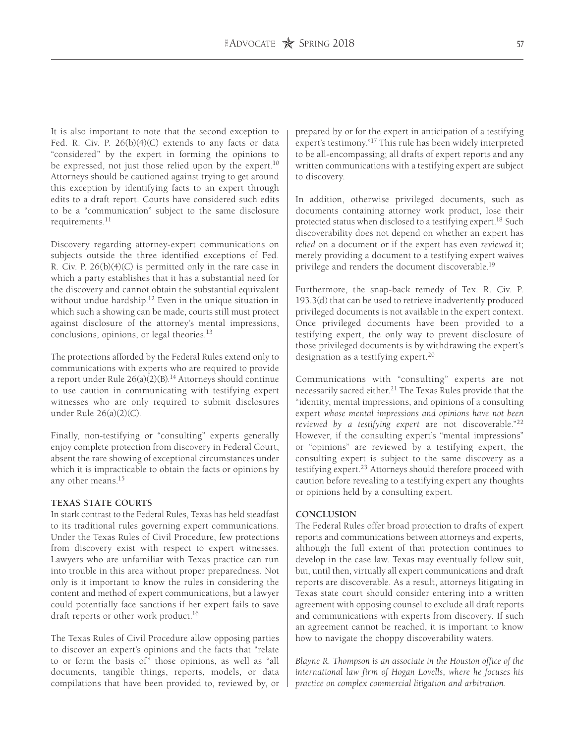It is also important to note that the second exception to Fed. R. Civ. P. 26(b)(4)(C) extends to any facts or data "considered" by the expert in forming the opinions to be expressed, not just those relied upon by the expert.<sup>10</sup> Attorneys should be cautioned against trying to get around this exception by identifying facts to an expert through edits to a draft report. Courts have considered such edits to be a "communication" subject to the same disclosure requirements.<sup>11</sup>

Discovery regarding attorney-expert communications on subjects outside the three identified exceptions of Fed. R. Civ. P. 26(b)(4)(C) is permitted only in the rare case in which a party establishes that it has a substantial need for the discovery and cannot obtain the substantial equivalent without undue hardship.<sup>12</sup> Even in the unique situation in which such a showing can be made, courts still must protect against disclosure of the attorney's mental impressions, conclusions, opinions, or legal theories.<sup>13</sup>

The protections afforded by the Federal Rules extend only to communications with experts who are required to provide a report under Rule  $26(a)(2)(B)$ .<sup>14</sup> Attorneys should continue to use caution in communicating with testifying expert witnesses who are only required to submit disclosures under Rule 26(a)(2)(C).

Finally, non-testifying or "consulting" experts generally enjoy complete protection from discovery in Federal Court, absent the rare showing of exceptional circumstances under which it is impracticable to obtain the facts or opinions by any other means.15

### **TEXAS STATE COURTS**

In stark contrast to the Federal Rules, Texas has held steadfast to its traditional rules governing expert communications. Under the Texas Rules of Civil Procedure, few protections from discovery exist with respect to expert witnesses. Lawyers who are unfamiliar with Texas practice can run into trouble in this area without proper preparedness. Not only is it important to know the rules in considering the content and method of expert communications, but a lawyer could potentially face sanctions if her expert fails to save draft reports or other work product.<sup>16</sup>

The Texas Rules of Civil Procedure allow opposing parties to discover an expert's opinions and the facts that "relate to or form the basis of" those opinions, as well as "all documents, tangible things, reports, models, or data compilations that have been provided to, reviewed by, or prepared by or for the expert in anticipation of a testifying expert's testimony."17 This rule has been widely interpreted to be all-encompassing; all drafts of expert reports and any written communications with a testifying expert are subject to discovery.

In addition, otherwise privileged documents, such as documents containing attorney work product, lose their protected status when disclosed to a testifying expert.<sup>18</sup> Such discoverability does not depend on whether an expert has *relied* on a document or if the expert has even *reviewed* it; merely providing a document to a testifying expert waives privilege and renders the document discoverable.<sup>19</sup>

Furthermore, the snap-back remedy of Tex. R. Civ. P. 193.3(d) that can be used to retrieve inadvertently produced privileged documents is not available in the expert context. Once privileged documents have been provided to a testifying expert, the only way to prevent disclosure of those privileged documents is by withdrawing the expert's designation as a testifying expert. $20$ 

Communications with "consulting" experts are not necessarily sacred either.<sup>21</sup> The Texas Rules provide that the "identity, mental impressions, and opinions of a consulting expert *whose mental impressions and opinions have not been reviewed by a testifying expert* are not discoverable."22 However, if the consulting expert's "mental impressions" or "opinions" are reviewed by a testifying expert, the consulting expert is subject to the same discovery as a testifying expert.<sup>23</sup> Attorneys should therefore proceed with caution before revealing to a testifying expert any thoughts or opinions held by a consulting expert.

#### **CONCLUSION**

The Federal Rules offer broad protection to drafts of expert reports and communications between attorneys and experts, although the full extent of that protection continues to develop in the case law. Texas may eventually follow suit, but, until then, virtually all expert communications and draft reports are discoverable. As a result, attorneys litigating in Texas state court should consider entering into a written agreement with opposing counsel to exclude all draft reports and communications with experts from discovery. If such an agreement cannot be reached, it is important to know how to navigate the choppy discoverability waters.

*Blayne R. Thompson is an associate in the Houston office of the international law firm of Hogan Lovells, where he focuses his practice on complex commercial litigation and arbitration.*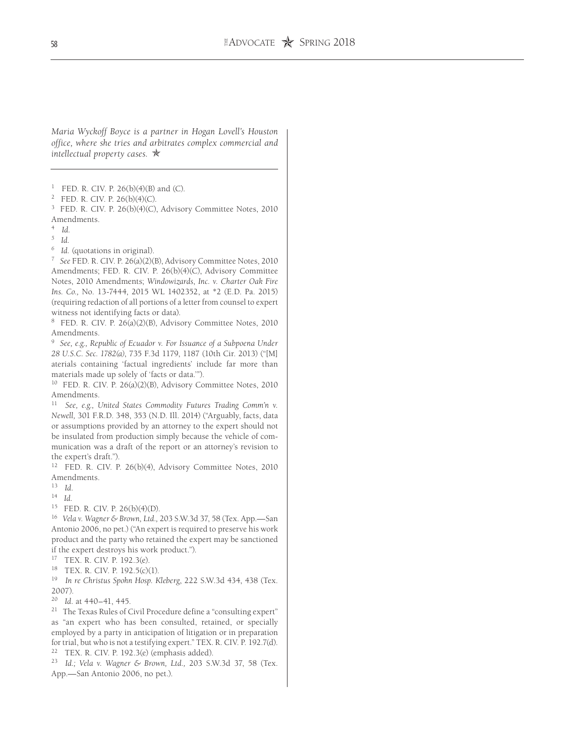*Maria Wyckoff Boyce is a partner in Hogan Lovell's Houston office, where she tries and arbitrates complex commercial and intellectual property cases.*  $\star$ 

<sup>1</sup> FED. R. CIV. P. 26(b)(4)(B) and (C).

2 FED. R. CIV. P. 26(b)(4)(C).

3 FED. R. CIV. P. 26(b)(4)(C), Advisory Committee Notes, 2010 Amendments.

4 *Id.*

*5 Id.*

*6 Id.* (quotations in original).

7 *See* FED. R. CIV. P. 26(a)(2)(B), Advisory Committee Notes, 2010 Amendments; FED. R. CIV. P. 26(b)(4)(C), Advisory Committee Notes, 2010 Amendments; *Windowizards*, *Inc. v. Charter Oak Fire Ins. Co.,* No. 13-7444, 2015 WL 1402352, at \*2 (E.D. Pa. 2015) (requiring redaction of all portions of a letter from counsel to expert witness not identifying facts or data).

8 FED. R. CIV. P. 26(a)(2)(B), Advisory Committee Notes, 2010 Amendments.

9 *See, e.g., Republic of Ecuador v. For Issuance of a Subpoena Under 28 U.S.C. Sec. 1782(a)*, 735 F.3d 1179, 1187 (10th Cir. 2013) ("[M] aterials containing 'factual ingredients' include far more than materials made up solely of 'facts or data.'").

10 FED. R. CIV. P. 26(a)(2)(B), Advisory Committee Notes, 2010 Amendments.

11 *See, e.g., United States Commodity Futures Trading Comm'n v. Newell,* 301 F.R.D. 348, 353 (N.D. Ill. 2014) ("Arguably, facts, data or assumptions provided by an attorney to the expert should not be insulated from production simply because the vehicle of communication was a draft of the report or an attorney's revision to the expert's draft.").

12 FED. R. CIV. P. 26(b)(4), Advisory Committee Notes, 2010 Amendments.

13 *Id.*

<sup>14</sup> *Id.*

15 FED. R. CIV. P. 26(b)(4)(D).

16 *Vela v. Wagner & Brown, Ltd.,* 203 S.W.3d 37, 58 (Tex. App.—San Antonio 2006, no pet.) ("An expert is required to preserve his work product and the party who retained the expert may be sanctioned if the expert destroys his work product.").

17 TEX. R. CIV. P. 192.3(e).

18 TEX. R. CIV. P. 192.5(c)(1).

19 *In re Christus Spohn Hosp. Kleberg*, 222 S.W.3d 434, 438 (Tex. 2007).

20 *Id.* at 440–41, 445.

<sup>21</sup> The Texas Rules of Civil Procedure define a "consulting expert" as "an expert who has been consulted, retained, or specially employed by a party in anticipation of litigation or in preparation for trial, but who is not a testifying expert." TEX. R. CIV. P. 192.7(d). 22 TEX. R. CIV. P. 192.3(e) (emphasis added).

23 *Id.; Vela v. Wagner & Brown, Ltd.,* 203 S.W.3d 37, 58 (Tex. App.—San Antonio 2006, no pet.).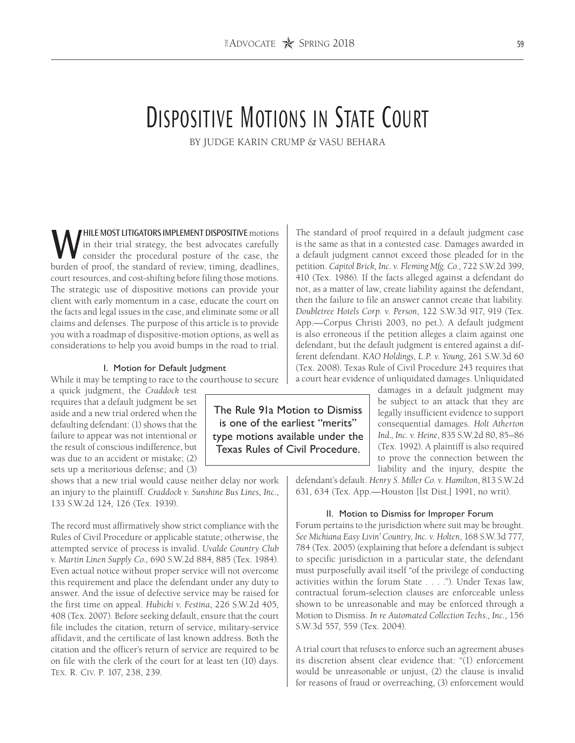# Dispositive Motions in State Court

BY JUDGE KARIN CRUMP & VASU BEHARA

WHILE MOST LITIGATORS IMPLEMENT DISPOSITIVE motions<br>in their trial strategy, the best advocates carefully<br>burden of proof, the standard of review, timing deadlines in their trial strategy, the best advocates carefully consider the procedural posture of the case, the burden of proof, the standard of review, timing, deadlines, court resources, and cost-shifting before filing those motions. The strategic use of dispositive motions can provide your client with early momentum in a case, educate the court on the facts and legal issues in the case, and eliminate some or all claims and defenses. The purpose of this article is to provide you with a roadmap of dispositive-motion options, as well as considerations to help you avoid bumps in the road to trial.

#### I. Motion for Default Judgment

While it may be tempting to race to the courthouse to secure

a quick judgment, the *Craddock* test requires that a default judgment be set aside and a new trial ordered when the defaulting defendant: (1) shows that the failure to appear was not intentional or the result of conscious indifference, but was due to an accident or mistake; (2) sets up a meritorious defense; and (3)

shows that a new trial would cause neither delay nor work an injury to the plaintiff. *Craddock v. Sunshine Bus Lines, Inc*., 133 S.W.2d 124, 126 (Tex. 1939).

The record must affirmatively show strict compliance with the Rules of Civil Procedure or applicable statute; otherwise, the attempted service of process is invalid. *Uvalde Country Club v. Martin Linen Supply Co*., 690 S.W.2d 884, 885 (Tex. 1984). Even actual notice without proper service will not overcome this requirement and place the defendant under any duty to answer. And the issue of defective service may be raised for the first time on appeal. *Hubicki v. Festina*, 226 S.W.2d 405, 408 (Tex. 2007). Before seeking default, ensure that the court file includes the citation, return of service, military-service affidavit, and the certificate of last known address. Both the citation and the officer's return of service are required to be on file with the clerk of the court for at least ten (10) days. Tex. R. Civ. P. 107, 238, 239.

The standard of proof required in a default judgment case is the same as that in a contested case. Damages awarded in a default judgment cannot exceed those pleaded for in the petition. *Capitol Brick, Inc. v. Fleming Mfg. Co*., 722 S.W.2d 399, 410 (Tex. 1986). If the facts alleged against a defendant do not, as a matter of law, create liability against the defendant, then the failure to file an answer cannot create that liability. *Doubletree Hotels Corp. v. Person*, 122 S.W.3d 917, 919 (Tex. App.—Corpus Christi 2003, no pet.). A default judgment is also erroneous if the petition alleges a claim against one defendant, but the default judgment is entered against a different defendant. *KAO Holdings, L.P. v. Young*, 261 S.W.3d 60 (Tex. 2008). Texas Rule of Civil Procedure 243 requires that a court hear evidence of unliquidated damages. Unliquidated

> damages in a default judgment may be subject to an attack that they are legally insufficient evidence to support consequential damages. *Holt Atherton Ind., Inc. v. Heine*, 835 S.W.2d 80, 85–86 (Tex. 1992). A plaintiff is also required to prove the connection between the liability and the injury, despite the

defendant's default. *Henry S. Miller Co. v. Hamilton*, 813 S.W.2d 631, 634 (Tex. App.—Houston [lst Dist.] 1991, no writ).

#### II. Motion to Dismiss for Improper Forum

Forum pertains to the jurisdiction where suit may be brought. *See Michiana Easy Livin' Country, Inc. v. Holten*, 168 S.W.3d 777, 784 (Tex. 2005) (explaining that before a defendant is subject to specific jurisdiction in a particular state, the defendant must purposefully avail itself "of the privilege of conducting activities within the forum State . . . ."). Under Texas law, contractual forum-selection clauses are enforceable unless shown to be unreasonable and may be enforced through a Motion to Dismiss. *In re Automated Collection Techs., Inc.*, 156 S.W.3d 557, 559 (Tex. 2004).

A trial court that refuses to enforce such an agreement abuses its discretion absent clear evidence that: "(1) enforcement would be unreasonable or unjust, (2) the clause is invalid for reasons of fraud or overreaching, (3) enforcement would

The Rule 91a Motion to Dismiss is one of the earliest "merits" type motions available under the Texas Rules of Civil Procedure.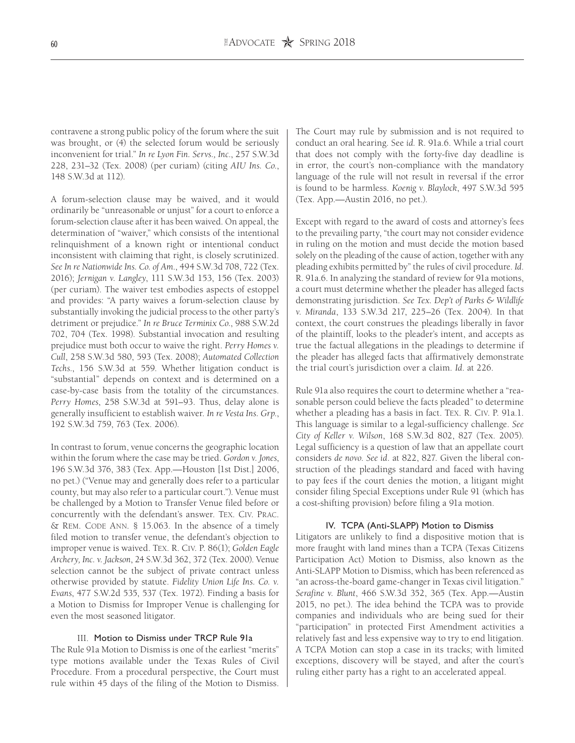contravene a strong public policy of the forum where the suit was brought, or (4) the selected forum would be seriously inconvenient for trial." *In re Lyon Fin. Servs., Inc*., 257 S.W.3d 228, 231–32 (Tex. 2008) (per curiam) (citing *AIU Ins. Co*., 148 S.W.3d at 112).

A forum-selection clause may be waived, and it would ordinarily be "unreasonable or unjust" for a court to enforce a forum-selection clause after it has been waived. On appeal, the determination of "waiver," which consists of the intentional relinquishment of a known right or intentional conduct inconsistent with claiming that right, is closely scrutinized. *See In re Nationwide Ins. Co. of Am*., 494 S.W.3d 708, 722 (Tex. 2016); *Jernigan v. Langley*, 111 S.W.3d 153, 156 (Tex. 2003) (per curiam). The waiver test embodies aspects of estoppel and provides: "A party waives a forum-selection clause by substantially invoking the judicial process to the other party's detriment or prejudice." *In re Bruce Terminix Co.*, 988 S.W.2d 702, 704 (Tex. 1998). Substantial invocation and resulting prejudice must both occur to waive the right. *Perry Homes v. Cull*, 258 S.W.3d 580, 593 (Tex. 2008); *Automated Collection Techs*., 156 S.W.3d at 559. Whether litigation conduct is "substantial" depends on context and is determined on a case-by-case basis from the totality of the circumstances. *Perry Homes*, 258 S.W.3d at 591–93. Thus, delay alone is generally insufficient to establish waiver. *In re Vesta Ins. Grp*., 192 S.W.3d 759, 763 (Tex. 2006).

In contrast to forum, venue concerns the geographic location within the forum where the case may be tried. *Gordon v. Jones*, 196 S.W.3d 376, 383 (Tex. App.—Houston [1st Dist.] 2006, no pet.) ("Venue may and generally does refer to a particular county, but may also refer to a particular court."). Venue must be challenged by a Motion to Transfer Venue filed before or concurrently with the defendant's answer. Tex. Civ. Prac. & Rem. Code Ann. § 15.063. In the absence of a timely filed motion to transfer venue, the defendant's objection to improper venue is waived. Tex. R. Civ. P. 86(1); *Golden Eagle Archery, Inc. v. Jackson*, 24 S.W.3d 362, 372 (Tex. 2000). Venue selection cannot be the subject of private contract unless otherwise provided by statute. *Fidelity Union Life Ins. Co. v. Evans*, 477 S.W.2d 535, 537 (Tex. 1972). Finding a basis for a Motion to Dismiss for Improper Venue is challenging for even the most seasoned litigator.

### III. Motion to Dismiss under TRCP Rule 91a

The Rule 91a Motion to Dismiss is one of the earliest "merits" type motions available under the Texas Rules of Civil Procedure. From a procedural perspective, the Court must rule within 45 days of the filing of the Motion to Dismiss.

The Court may rule by submission and is not required to conduct an oral hearing. See *id.* R. 91a.6. While a trial court that does not comply with the forty-five day deadline is in error, the court's non-compliance with the mandatory language of the rule will not result in reversal if the error is found to be harmless. *Koenig v. Blaylock*, 497 S.W.3d 595 (Tex. App.—Austin 2016, no pet.).

Except with regard to the award of costs and attorney's fees to the prevailing party, "the court may not consider evidence in ruling on the motion and must decide the motion based solely on the pleading of the cause of action, together with any pleading exhibits permitted by" the rules of civil procedure. *Id*. R. 91a.6. In analyzing the standard of review for 91a motions, a court must determine whether the pleader has alleged facts demonstrating jurisdiction. *See Tex. Dep't of Parks & Wildlife v. Miranda*, 133 S.W.3d 217, 225–26 (Tex. 2004). In that context, the court construes the pleadings liberally in favor of the plaintiff, looks to the pleader's intent, and accepts as true the factual allegations in the pleadings to determine if the pleader has alleged facts that affirmatively demonstrate the trial court's jurisdiction over a claim. *Id*. at 226.

Rule 91a also requires the court to determine whether a "reasonable person could believe the facts pleaded" to determine whether a pleading has a basis in fact. Tex. R. Civ. P. 91a.1. This language is similar to a legal-sufficiency challenge. *See City of Keller v. Wilson*, 168 S.W.3d 802, 827 (Tex. 2005). Legal sufficiency is a question of law that an appellate court considers *de novo*. *See id*. at 822, 827. Given the liberal construction of the pleadings standard and faced with having to pay fees if the court denies the motion, a litigant might consider filing Special Exceptions under Rule 91 (which has a cost-shifting provision) before filing a 91a motion.

#### IV. TCPA (Anti-SLAPP) Motion to Dismiss

Litigators are unlikely to find a dispositive motion that is more fraught with land mines than a TCPA (Texas Citizens Participation Act) Motion to Dismiss, also known as the Anti-SLAPP Motion to Dismiss, which has been referenced as "an across-the-board game-changer in Texas civil litigation." *Serafine v. Blunt*, 466 S.W.3d 352, 365 (Tex. App.—Austin 2015, no pet.). The idea behind the TCPA was to provide companies and individuals who are being sued for their "participation" in protected First Amendment activities a relatively fast and less expensive way to try to end litigation. A TCPA Motion can stop a case in its tracks; with limited exceptions, discovery will be stayed, and after the court's ruling either party has a right to an accelerated appeal.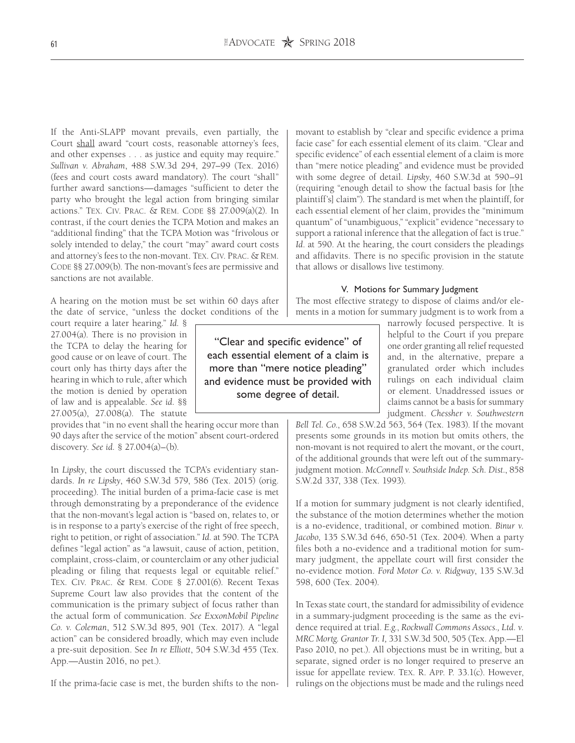If the Anti-SLAPP movant prevails, even partially, the Court shall award "court costs, reasonable attorney's fees, and other expenses . . . as justice and equity may require." *Sullivan v. Abraham*, 488 S.W.3d 294, 297–99 (Tex. 2016) (fees and court costs award mandatory). The court "shall" further award sanctions—damages "sufficient to deter the party who brought the legal action from bringing similar actions." Tex. Civ. Prac. & Rem. Code §§ 27.009(a)(2). In contrast, if the court denies the TCPA Motion and makes an "additional finding" that the TCPA Motion was "frivolous or solely intended to delay," the court "may" award court costs and attorney's fees to the non-movant. Tex. Civ. Prac. & Rem. CODE §§ 27.009(b). The non-movant's fees are permissive and sanctions are not available.

A hearing on the motion must be set within 60 days after the date of service, "unless the docket conditions of the

court require a later hearing." *Id.* § 27.004(a). There is no provision in the TCPA to delay the hearing for good cause or on leave of court. The court only has thirty days after the hearing in which to rule, after which the motion is denied by operation of law and is appealable. *See id.* §§ 27.005(a), 27.008(a). The statute

provides that "in no event shall the hearing occur more than 90 days after the service of the motion" absent court-ordered discovery. *See id.* § 27.004(a)–(b).

In *Lipsky*, the court discussed the TCPA's evidentiary standards. *In re Lipsky*, 460 S.W.3d 579, 586 (Tex. 2015) (orig. proceeding). The initial burden of a prima-facie case is met through demonstrating by a preponderance of the evidence that the non-movant's legal action is "based on, relates to, or is in response to a party's exercise of the right of free speech, right to petition, or right of association." *Id.* at 590. The TCPA defines "legal action" as "a lawsuit, cause of action, petition, complaint, cross-claim, or counterclaim or any other judicial pleading or filing that requests legal or equitable relief." Tex. Civ. Prac. & Rem. Code § 27.001(6). Recent Texas Supreme Court law also provides that the content of the communication is the primary subject of focus rather than the actual form of communication. *See ExxonMobil Pipeline Co. v. Coleman*, 512 S.W.3d 895, 901 (Tex. 2017). A "legal action" can be considered broadly, which may even include a pre-suit deposition. See *In re Elliott*, 504 S.W.3d 455 (Tex. App.—Austin 2016, no pet.).

If the prima-facie case is met, the burden shifts to the non-

"Clear and specific evidence" of each essential element of a claim is more than "mere notice pleading" and evidence must be provided with some degree of detail.

movant to establish by "clear and specific evidence a prima facie case" for each essential element of its claim. "Clear and specific evidence" of each essential element of a claim is more than "mere notice pleading" and evidence must be provided with some degree of detail. *Lipsky*, 460 S.W.3d at 590–91 (requiring "enough detail to show the factual basis for [the plaintiff's] claim"). The standard is met when the plaintiff, for each essential element of her claim, provides the "minimum quantum" of "unambiguous," "explicit" evidence "necessary to support a rational inference that the allegation of fact is true." *Id*. at 590. At the hearing, the court considers the pleadings and affidavits. There is no specific provision in the statute that allows or disallows live testimony.

#### V. Motions for Summary Judgment

The most effective strategy to dispose of claims and/or elements in a motion for summary judgment is to work from a

> narrowly focused perspective. It is helpful to the Court if you prepare one order granting all relief requested and, in the alternative, prepare a granulated order which includes rulings on each individual claim or element. Unaddressed issues or claims cannot be a basis for summary judgment. *Chessher v. Southwestern*

*Bell Tel. Co*., 658 S.W.2d 563, 564 (Tex. 1983). If the movant presents some grounds in its motion but omits others, the non-movant is not required to alert the movant, or the court, of the additional grounds that were left out of the summaryjudgment motion. *McConnell v. Southside Indep. Sch. Dist.*, 858 S.W.2d 337, 338 (Tex. 1993).

If a motion for summary judgment is not clearly identified, the substance of the motion determines whether the motion is a no-evidence, traditional, or combined motion. *Binur v. Jacobo*, 135 S.W.3d 646, 650-51 (Tex. 2004). When a party files both a no-evidence and a traditional motion for summary judgment, the appellate court will first consider the no-evidence motion. *Ford Motor Co. v. Ridgway*, 135 S.W.3d 598, 600 (Tex. 2004).

In Texas state court, the standard for admissibility of evidence in a summary-judgment proceeding is the same as the evidence required at trial. *E.g.*, *Rockwall Commons Assocs., Ltd. v. MRC Mortg. Grantor Tr. I,* 331 S.W.3d 500, 505 (Tex. App.—El Paso 2010, no pet.). All objections must be in writing, but a separate, signed order is no longer required to preserve an issue for appellate review. Tex. R. App. P. 33.1(c). However, rulings on the objections must be made and the rulings need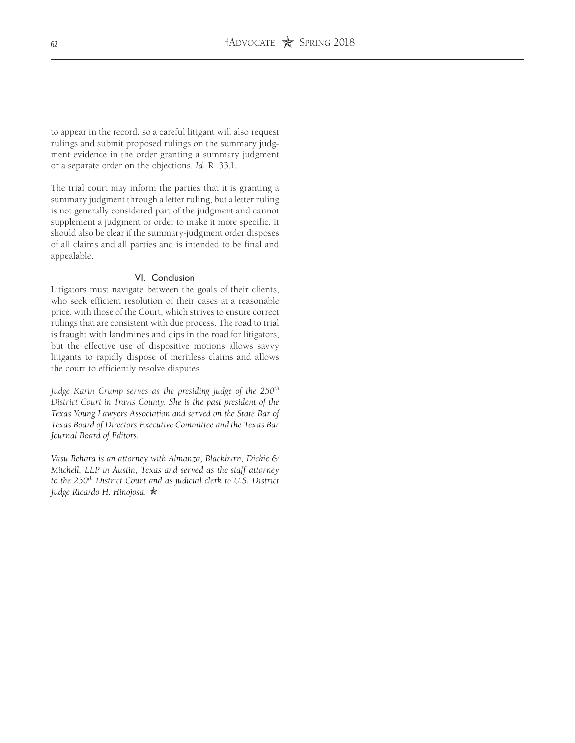to appear in the record, so a careful litigant will also request rulings and submit proposed rulings on the summary judgment evidence in the order granting a summary judgment or a separate order on the objections. *Id.* R. 33.1.

The trial court may inform the parties that it is granting a summary judgment through a letter ruling, but a letter ruling is not generally considered part of the judgment and cannot supplement a judgment or order to make it more specific. It should also be clear if the summary-judgment order disposes of all claims and all parties and is intended to be final and appealable.

# VI. Conclusion

Litigators must navigate between the goals of their clients, who seek efficient resolution of their cases at a reasonable price, with those of the Court, which strives to ensure correct rulings that are consistent with due process. The road to trial is fraught with landmines and dips in the road for litigators, but the effective use of dispositive motions allows savvy litigants to rapidly dispose of meritless claims and allows the court to efficiently resolve disputes.

*Judge Karin Crump serves as the presiding judge of the 250th District Court in Travis County. She is the past president of the Texas Young Lawyers Association and served on the State Bar of Texas Board of Directors Executive Committee and the Texas Bar Journal Board of Editors.* 

*Vasu Behara is an attorney with Almanza, Blackburn, Dickie & Mitchell, LLP in Austin, Texas and served as the staff attorney*  to the 250<sup>th</sup> District Court and as judicial clerk to U.S. District *Judge Ricardo H. Hinojosa.* O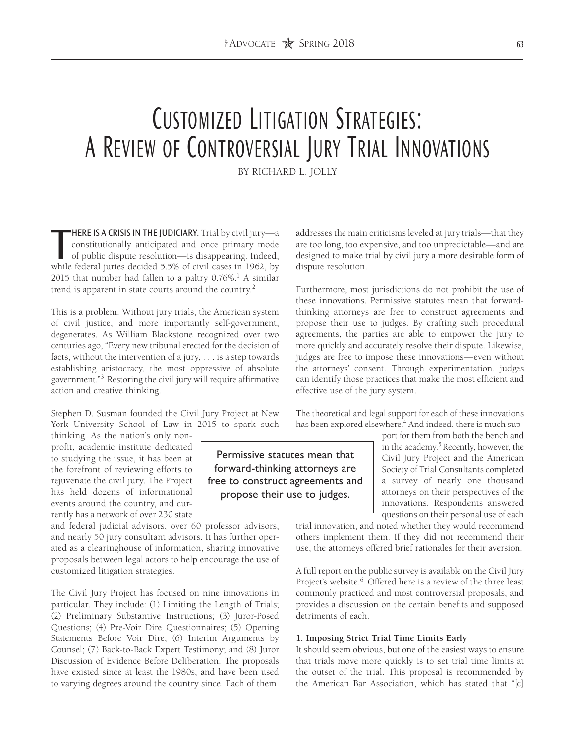# Customized Litigation Strategies: A Review of Controversial Jury Trial Innovations

BY RICHARD L. JOLLY

**HERE IS A CRISIS IN THE JUDICIARY.** Trial by civil jury—a constitutionally anticipated and once primary mode of public dispute resolution—is disappearing. Indeed, while federal juries decided 5.5% of civil cases in 1962, HERE IS A CRISIS IN THE JUDICIARY. Trial by civil jury—a constitutionally anticipated and once primary mode of public dispute resolution—is disappearing. Indeed, 2015 that number had fallen to a paltry  $0.76\%$ .<sup>1</sup> A similar trend is apparent in state courts around the country.<sup>2</sup>

This is a problem. Without jury trials, the American system of civil justice, and more importantly self-government, degenerates. As William Blackstone recognized over two centuries ago, "Every new tribunal erected for the decision of facts, without the intervention of a jury, . . . is a step towards establishing aristocracy, the most oppressive of absolute government."3 Restoring the civil jury will require affirmative action and creative thinking.

Stephen D. Susman founded the Civil Jury Project at New York University School of Law in 2015 to spark such

thinking. As the nation's only nonprofit, academic institute dedicated to studying the issue, it has been at the forefront of reviewing efforts to rejuvenate the civil jury. The Project has held dozens of informational events around the country, and currently has a network of over 230 state

and federal judicial advisors, over 60 professor advisors, and nearly 50 jury consultant advisors. It has further operated as a clearinghouse of information, sharing innovative proposals between legal actors to help encourage the use of customized litigation strategies.

The Civil Jury Project has focused on nine innovations in particular. They include: (1) Limiting the Length of Trials; (2) Preliminary Substantive Instructions; (3) Juror-Posed Questions; (4) Pre-Voir Dire Questionnaires; (5) Opening Statements Before Voir Dire; (6) Interim Arguments by Counsel; (7) Back-to-Back Expert Testimony; and (8) Juror Discussion of Evidence Before Deliberation. The proposals have existed since at least the 1980s, and have been used to varying degrees around the country since. Each of them

addresses the main criticisms leveled at jury trials—that they are too long, too expensive, and too unpredictable—and are designed to make trial by civil jury a more desirable form of dispute resolution.

Furthermore, most jurisdictions do not prohibit the use of these innovations. Permissive statutes mean that forwardthinking attorneys are free to construct agreements and propose their use to judges. By crafting such procedural agreements, the parties are able to empower the jury to more quickly and accurately resolve their dispute. Likewise, judges are free to impose these innovations—even without the attorneys' consent. Through experimentation, judges can identify those practices that make the most efficient and effective use of the jury system.

The theoretical and legal support for each of these innovations has been explored elsewhere.<sup>4</sup> And indeed, there is much sup-

> port for them from both the bench and in the academy.5 Recently, however, the Civil Jury Project and the American Society of Trial Consultants completed a survey of nearly one thousand attorneys on their perspectives of the innovations. Respondents answered questions on their personal use of each

trial innovation, and noted whether they would recommend others implement them. If they did not recommend their use, the attorneys offered brief rationales for their aversion.

A full report on the public survey is available on the Civil Jury Project's website.<sup>6</sup> Offered here is a review of the three least commonly practiced and most controversial proposals, and provides a discussion on the certain benefits and supposed detriments of each.

#### **1. Imposing Strict Trial Time Limits Early**

It should seem obvious, but one of the easiest ways to ensure that trials move more quickly is to set trial time limits at the outset of the trial. This proposal is recommended by the American Bar Association, which has stated that "[c]

Permissive statutes mean that forward-thinking attorneys are free to construct agreements and propose their use to judges.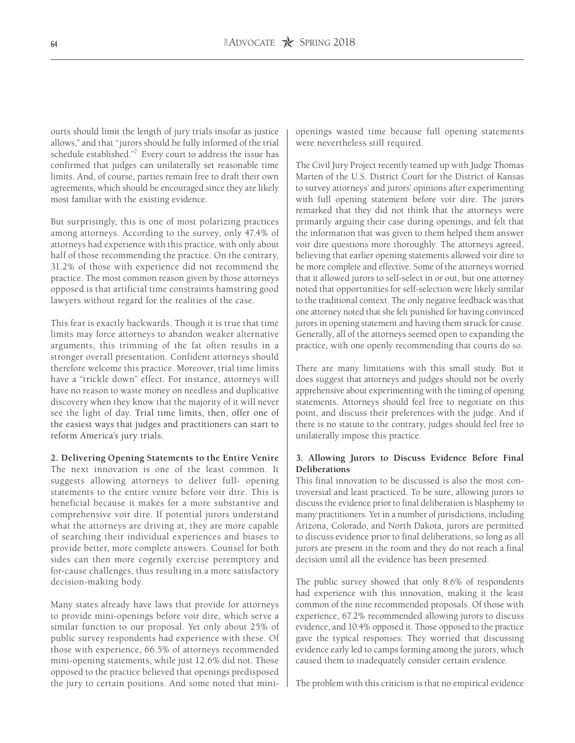ourts should limit the length of jury trials insofar as justice allows," and that "jurors should be fully informed of the trial schedule established."7 Every court to address the issue has confirmed that judges can unilaterally set reasonable time limits. And, of course, parties remain free to draft their own agreements, which should be encouraged since they are likely most familiar with the existing evidence.

But surprisingly, this is one of most polarizing practices among attorneys. According to the survey, only 47.4% of attorneys had experience with this practice, with only about half of those recommending the practice. On the contrary, 31.2% of those with experience did not recommend the practice. The most common reason given by those attorneys opposed is that artificial time constraints hamstring good lawyers without regard for the realities of the case.

This fear is exactly backwards. Though it is true that time limits may force attorneys to abandon weaker alternative arguments, this trimming of the fat often results in a stronger overall presentation. Confident attorneys should therefore welcome this practice. Moreover, trial time limits have a "trickle down" effect. For instance, attorneys will have no reason to waste money on needless and duplicative discovery when they know that the majority of it will never see the light of day. Trial time limits, then, offer one of the easiest ways that judges and practitioners can start to reform America's jury trials.

#### **2. Delivering Opening Statements to the Entire Venire**

The next innovation is one of the least common. It suggests allowing attorneys to deliver full- opening statements to the entire venire before voir dire. This is beneficial because it makes for a more substantive and comprehensive voir dire. If potential jurors understand what the attorneys are driving at, they are more capable of searching their individual experiences and biases to provide better, more complete answers. Counsel for both sides can then more cogently exercise peremptory and for-cause challenges, thus resulting in a more satisfactory decision-making body.

Many states already have laws that provide for attorneys to provide mini-openings before voir dire, which serve a similar function to our proposal. Yet only about 25% of public survey respondents had experience with these. Of those with experience, 66.5% of attorneys recommended mini-opening statements, while just 12.6% did not. Those opposed to the practice believed that openings predisposed the jury to certain positions. And some noted that miniopenings wasted time because full opening statements were nevertheless still required.

The Civil Jury Project recently teamed up with Judge Thomas Marten of the U.S. District Court for the District of Kansas to survey attorneys' and jurors' opinions after experimenting with full opening statement before voir dire. The jurors remarked that they did not think that the attorneys were primarily arguing their case during openings, and felt that the information that was given to them helped them answer voir dire questions more thoroughly. The attorneys agreed, believing that earlier opening statements allowed voir dire to be more complete and effective. Some of the attorneys worried that it allowed jurors to self-select in or out, but one attorney noted that opportunities for self-selection were likely similar to the traditional context. The only negative feedback was that one attorney noted that she felt punished for having convinced jurors in opening statement and having them struck for cause. Generally, all of the attorneys seemed open to expanding the practice, with one openly recommending that courts do so.

There are many limitations with this small study. But it does suggest that attorneys and judges should not be overly apprehensive about experimenting with the timing of opening statements. Attorneys should feel free to negotiate on this point, and discuss their preferences with the judge. And if there is no statute to the contrary, judges should feel free to unilaterally impose this practice.

# **3. Allowing Jurors to Discuss Evidence Before Final Deliberations**

This final innovation to be discussed is also the most controversial and least practiced. To be sure, allowing jurors to discuss the evidence prior to final deliberation is blasphemy to many practitioners. Yet in a number of jurisdictions, including Arizona, Colorado, and North Dakota, jurors are permitted to discuss evidence prior to final deliberations, so long as all jurors are present in the room and they do not reach a final decision until all the evidence has been presented.

The public survey showed that only 8.6% of respondents had experience with this innovation, making it the least common of the nine recommended proposals. Of those with experience, 67.2% recommended allowing jurors to discuss evidence, and 10.4% opposed it. Those opposed to the practice gave the typical responses: They worried that discussing evidence early led to camps forming among the jurors, which caused them to inadequately consider certain evidence.

The problem with this criticism is that no empirical evidence